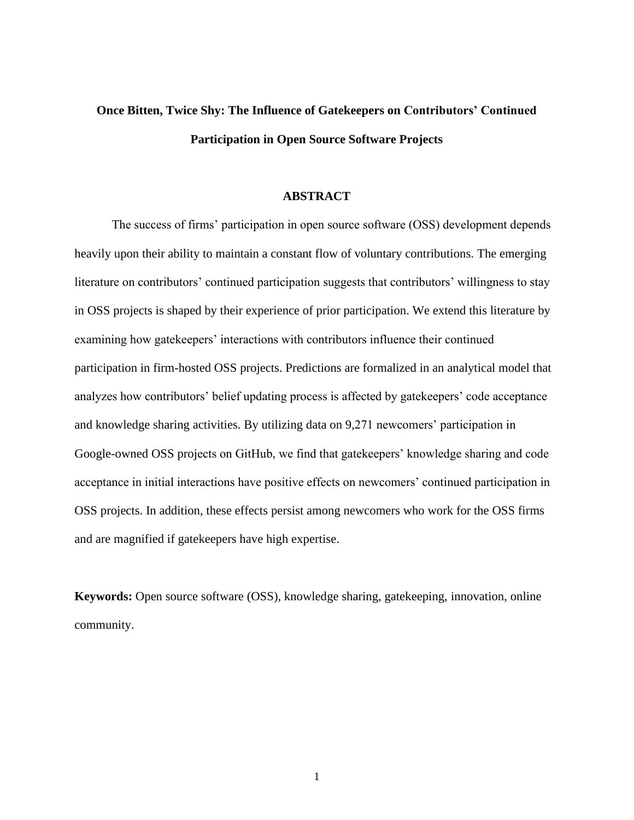# **Once Bitten, Twice Shy: The Influence of Gatekeepers on Contributors' Continued Participation in Open Source Software Projects**

#### **ABSTRACT**

The success of firms' participation in open source software (OSS) development depends heavily upon their ability to maintain a constant flow of voluntary contributions. The emerging literature on contributors' continued participation suggests that contributors' willingness to stay in OSS projects is shaped by their experience of prior participation. We extend this literature by examining how gatekeepers' interactions with contributors influence their continued participation in firm-hosted OSS projects. Predictions are formalized in an analytical model that analyzes how contributors' belief updating process is affected by gatekeepers' code acceptance and knowledge sharing activities. By utilizing data on 9,271 newcomers' participation in Google-owned OSS projects on GitHub, we find that gatekeepers' knowledge sharing and code acceptance in initial interactions have positive effects on newcomers' continued participation in OSS projects. In addition, these effects persist among newcomers who work for the OSS firms and are magnified if gatekeepers have high expertise.

**Keywords:** Open source software (OSS), knowledge sharing, gatekeeping, innovation, online community.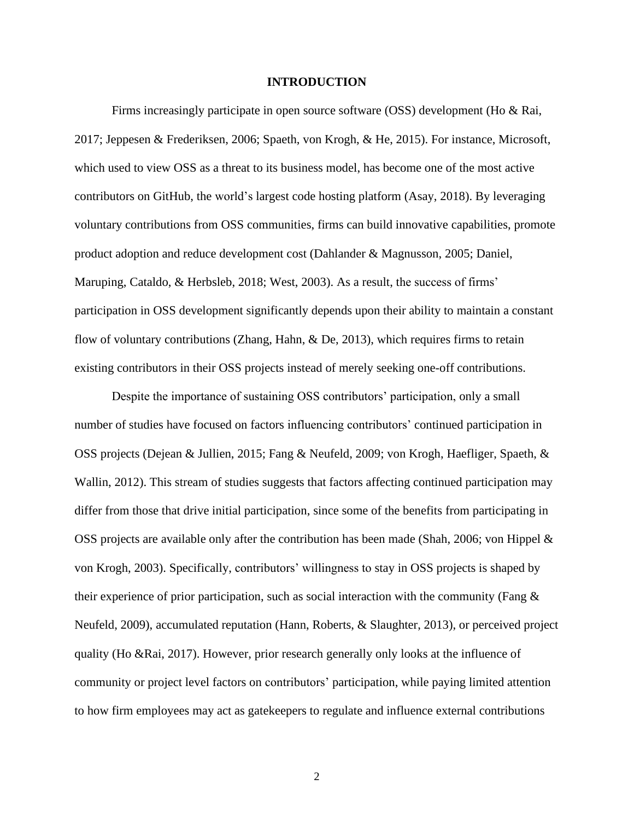#### **INTRODUCTION**

Firms increasingly participate in open source software (OSS) development (Ho & Rai, 2017; Jeppesen & Frederiksen, 2006; Spaeth, von Krogh, & He, 2015). For instance, Microsoft, which used to view OSS as a threat to its business model, has become one of the most active contributors on GitHub, the world's largest code hosting platform (Asay, 2018). By leveraging voluntary contributions from OSS communities, firms can build innovative capabilities, promote product adoption and reduce development cost (Dahlander & Magnusson, 2005; Daniel, Maruping, Cataldo, & Herbsleb, 2018; West, 2003). As a result, the success of firms' participation in OSS development significantly depends upon their ability to maintain a constant flow of voluntary contributions (Zhang, Hahn, & De, 2013), which requires firms to retain existing contributors in their OSS projects instead of merely seeking one-off contributions.

Despite the importance of sustaining OSS contributors' participation, only a small number of studies have focused on factors influencing contributors' continued participation in OSS projects (Dejean & Jullien, 2015; Fang & Neufeld, 2009; von Krogh, Haefliger, Spaeth, & Wallin, 2012). This stream of studies suggests that factors affecting continued participation may differ from those that drive initial participation, since some of the benefits from participating in OSS projects are available only after the contribution has been made (Shah, 2006; von Hippel & von Krogh, 2003). Specifically, contributors' willingness to stay in OSS projects is shaped by their experience of prior participation, such as social interaction with the community (Fang  $\&$ Neufeld, 2009), accumulated reputation (Hann, Roberts, & Slaughter, 2013), or perceived project quality (Ho &Rai, 2017). However, prior research generally only looks at the influence of community or project level factors on contributors' participation, while paying limited attention to how firm employees may act as gatekeepers to regulate and influence external contributions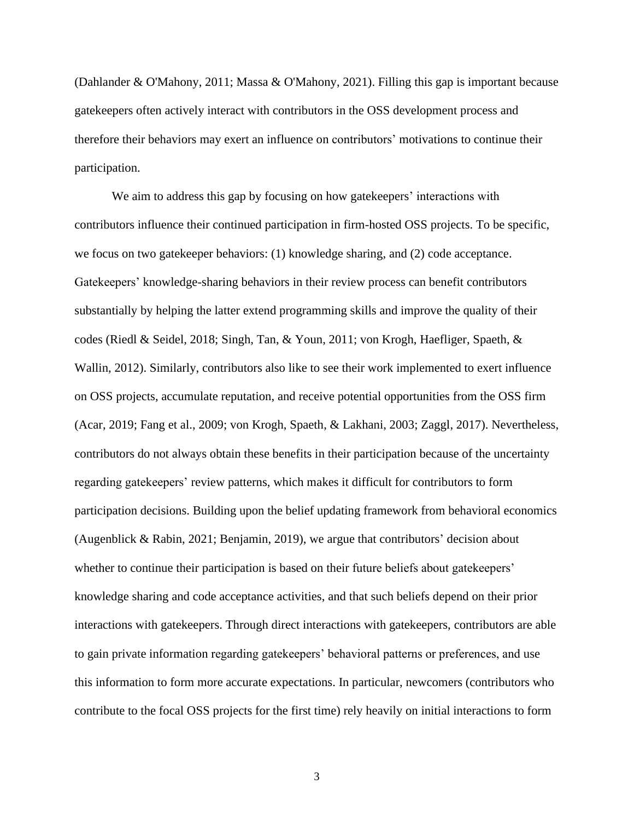(Dahlander & O'Mahony, 2011; Massa & O'Mahony, 2021). Filling this gap is important because gatekeepers often actively interact with contributors in the OSS development process and therefore their behaviors may exert an influence on contributors' motivations to continue their participation.

We aim to address this gap by focusing on how gatekeepers' interactions with contributors influence their continued participation in firm-hosted OSS projects. To be specific, we focus on two gatekeeper behaviors: (1) knowledge sharing, and (2) code acceptance. Gatekeepers' knowledge-sharing behaviors in their review process can benefit contributors substantially by helping the latter extend programming skills and improve the quality of their codes (Riedl & Seidel, 2018; Singh, Tan, & Youn, 2011; von Krogh, Haefliger, Spaeth, & Wallin, 2012). Similarly, contributors also like to see their work implemented to exert influence on OSS projects, accumulate reputation, and receive potential opportunities from the OSS firm (Acar, 2019; Fang et al., 2009; von Krogh, Spaeth, & Lakhani, 2003; Zaggl, 2017). Nevertheless, contributors do not always obtain these benefits in their participation because of the uncertainty regarding gatekeepers' review patterns, which makes it difficult for contributors to form participation decisions. Building upon the belief updating framework from behavioral economics (Augenblick & Rabin, 2021; Benjamin, 2019), we argue that contributors' decision about whether to continue their participation is based on their future beliefs about gatekeepers' knowledge sharing and code acceptance activities, and that such beliefs depend on their prior interactions with gatekeepers. Through direct interactions with gatekeepers, contributors are able to gain private information regarding gatekeepers' behavioral patterns or preferences, and use this information to form more accurate expectations. In particular, newcomers (contributors who contribute to the focal OSS projects for the first time) rely heavily on initial interactions to form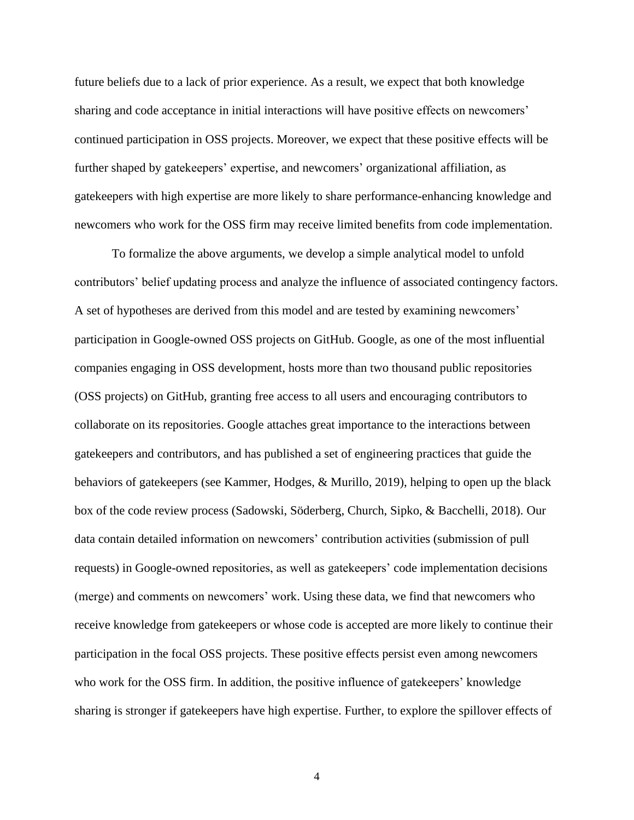future beliefs due to a lack of prior experience. As a result, we expect that both knowledge sharing and code acceptance in initial interactions will have positive effects on newcomers' continued participation in OSS projects. Moreover, we expect that these positive effects will be further shaped by gatekeepers' expertise, and newcomers' organizational affiliation, as gatekeepers with high expertise are more likely to share performance-enhancing knowledge and newcomers who work for the OSS firm may receive limited benefits from code implementation.

To formalize the above arguments, we develop a simple analytical model to unfold contributors' belief updating process and analyze the influence of associated contingency factors. A set of hypotheses are derived from this model and are tested by examining newcomers' participation in Google-owned OSS projects on GitHub. Google, as one of the most influential companies engaging in OSS development, hosts more than two thousand public repositories (OSS projects) on GitHub, granting free access to all users and encouraging contributors to collaborate on its repositories. Google attaches great importance to the interactions between gatekeepers and contributors, and has published a set of engineering practices that guide the behaviors of gatekeepers (see Kammer, Hodges, & Murillo, 2019), helping to open up the black box of the code review process (Sadowski, Söderberg, Church, Sipko, & Bacchelli, 2018). Our data contain detailed information on newcomers' contribution activities (submission of pull requests) in Google-owned repositories, as well as gatekeepers' code implementation decisions (merge) and comments on newcomers' work. Using these data, we find that newcomers who receive knowledge from gatekeepers or whose code is accepted are more likely to continue their participation in the focal OSS projects. These positive effects persist even among newcomers who work for the OSS firm. In addition, the positive influence of gatekeepers' knowledge sharing is stronger if gatekeepers have high expertise. Further, to explore the spillover effects of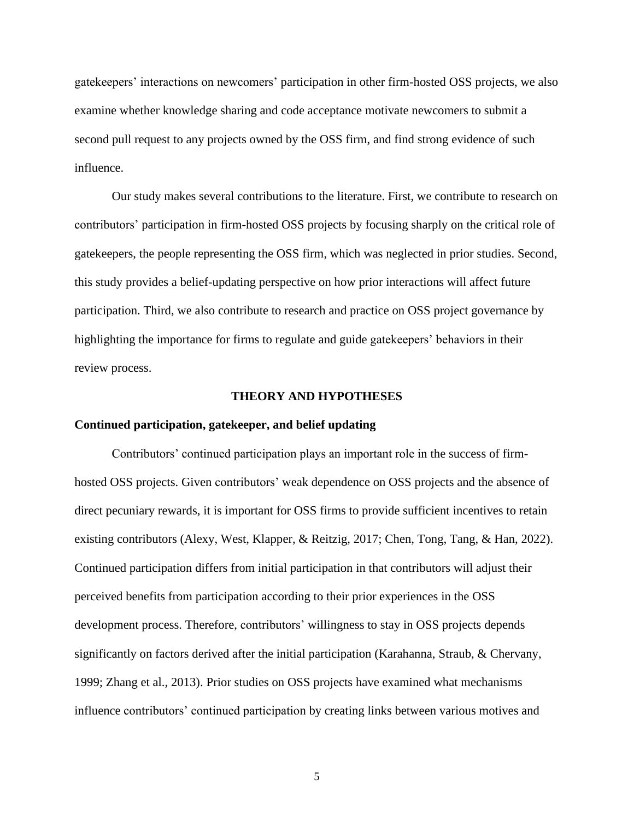gatekeepers' interactions on newcomers' participation in other firm-hosted OSS projects, we also examine whether knowledge sharing and code acceptance motivate newcomers to submit a second pull request to any projects owned by the OSS firm, and find strong evidence of such influence.

Our study makes several contributions to the literature. First, we contribute to research on contributors' participation in firm-hosted OSS projects by focusing sharply on the critical role of gatekeepers, the people representing the OSS firm, which was neglected in prior studies. Second, this study provides a belief-updating perspective on how prior interactions will affect future participation. Third, we also contribute to research and practice on OSS project governance by highlighting the importance for firms to regulate and guide gatekeepers' behaviors in their review process.

#### **THEORY AND HYPOTHESES**

#### **Continued participation, gatekeeper, and belief updating**

Contributors' continued participation plays an important role in the success of firmhosted OSS projects. Given contributors' weak dependence on OSS projects and the absence of direct pecuniary rewards, it is important for OSS firms to provide sufficient incentives to retain existing contributors (Alexy, West, Klapper, & Reitzig, 2017; Chen, Tong, Tang, & Han, 2022). Continued participation differs from initial participation in that contributors will adjust their perceived benefits from participation according to their prior experiences in the OSS development process. Therefore, contributors' willingness to stay in OSS projects depends significantly on factors derived after the initial participation (Karahanna, Straub, & Chervany, 1999; Zhang et al., 2013). Prior studies on OSS projects have examined what mechanisms influence contributors' continued participation by creating links between various motives and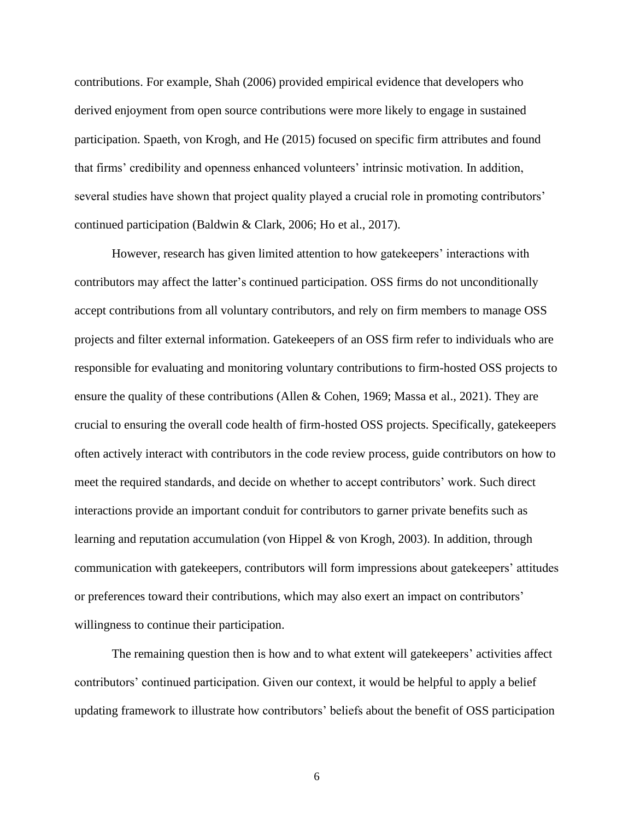contributions. For example, Shah (2006) provided empirical evidence that developers who derived enjoyment from open source contributions were more likely to engage in sustained participation. Spaeth, von Krogh, and He (2015) focused on specific firm attributes and found that firms' credibility and openness enhanced volunteers' intrinsic motivation. In addition, several studies have shown that project quality played a crucial role in promoting contributors' continued participation (Baldwin & Clark, 2006; Ho et al., 2017).

However, research has given limited attention to how gatekeepers' interactions with contributors may affect the latter's continued participation. OSS firms do not unconditionally accept contributions from all voluntary contributors, and rely on firm members to manage OSS projects and filter external information. Gatekeepers of an OSS firm refer to individuals who are responsible for evaluating and monitoring voluntary contributions to firm-hosted OSS projects to ensure the quality of these contributions (Allen & Cohen, 1969; Massa et al., 2021). They are crucial to ensuring the overall code health of firm-hosted OSS projects. Specifically, gatekeepers often actively interact with contributors in the code review process, guide contributors on how to meet the required standards, and decide on whether to accept contributors' work. Such direct interactions provide an important conduit for contributors to garner private benefits such as learning and reputation accumulation (von Hippel & von Krogh, 2003). In addition, through communication with gatekeepers, contributors will form impressions about gatekeepers' attitudes or preferences toward their contributions, which may also exert an impact on contributors' willingness to continue their participation.

The remaining question then is how and to what extent will gatekeepers' activities affect contributors' continued participation. Given our context, it would be helpful to apply a belief updating framework to illustrate how contributors' beliefs about the benefit of OSS participation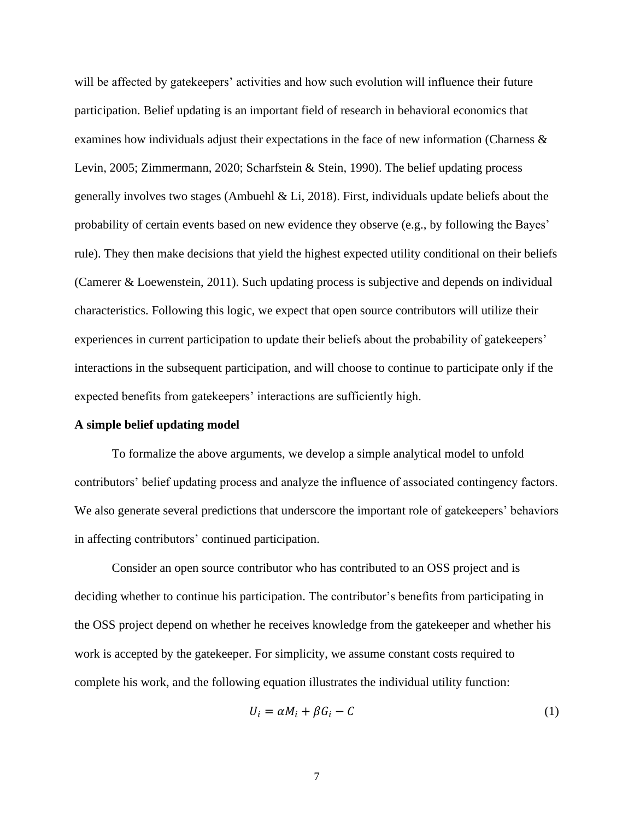will be affected by gatekeepers' activities and how such evolution will influence their future participation. Belief updating is an important field of research in behavioral economics that examines how individuals adjust their expectations in the face of new information (Charness & Levin, 2005; Zimmermann, 2020; Scharfstein & Stein, 1990). The belief updating process generally involves two stages (Ambuehl & Li, 2018). First, individuals update beliefs about the probability of certain events based on new evidence they observe (e.g., by following the Bayes' rule). They then make decisions that yield the highest expected utility conditional on their beliefs (Camerer & Loewenstein, 2011). Such updating process is subjective and depends on individual characteristics. Following this logic, we expect that open source contributors will utilize their experiences in current participation to update their beliefs about the probability of gatekeepers' interactions in the subsequent participation, and will choose to continue to participate only if the expected benefits from gatekeepers' interactions are sufficiently high.

#### **A simple belief updating model**

To formalize the above arguments, we develop a simple analytical model to unfold contributors' belief updating process and analyze the influence of associated contingency factors. We also generate several predictions that underscore the important role of gatekeepers' behaviors in affecting contributors' continued participation.

Consider an open source contributor who has contributed to an OSS project and is deciding whether to continue his participation. The contributor's benefits from participating in the OSS project depend on whether he receives knowledge from the gatekeeper and whether his work is accepted by the gatekeeper. For simplicity, we assume constant costs required to complete his work, and the following equation illustrates the individual utility function:

$$
U_i = \alpha M_i + \beta G_i - C \tag{1}
$$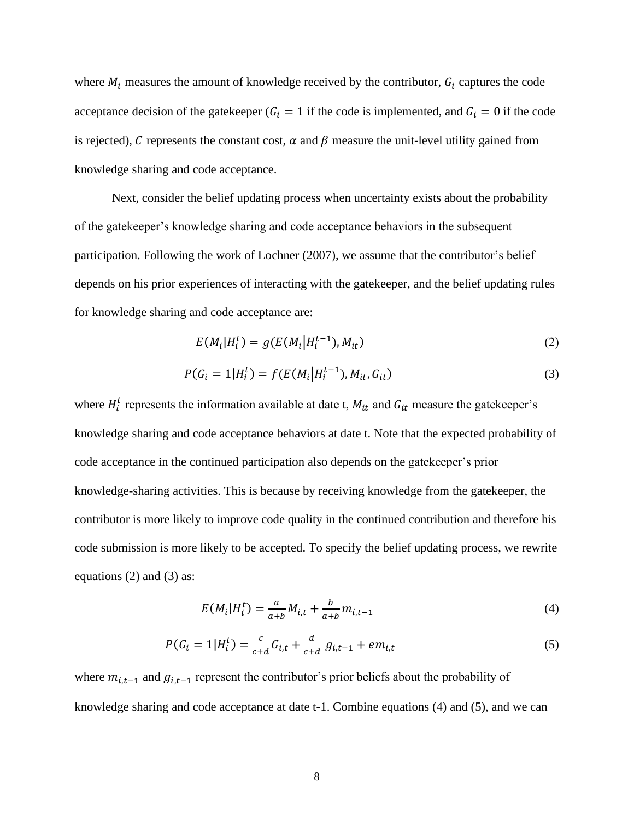where  $M_i$  measures the amount of knowledge received by the contributor,  $G_i$  captures the code acceptance decision of the gatekeeper ( $G_i = 1$  if the code is implemented, and  $G_i = 0$  if the code is rejected), C represents the constant cost,  $\alpha$  and  $\beta$  measure the unit-level utility gained from knowledge sharing and code acceptance.

Next, consider the belief updating process when uncertainty exists about the probability of the gatekeeper's knowledge sharing and code acceptance behaviors in the subsequent participation. Following the work of Lochner (2007), we assume that the contributor's belief depends on his prior experiences of interacting with the gatekeeper, and the belief updating rules for knowledge sharing and code acceptance are:

$$
E(M_i|H_i^t) = g(E(M_i|H_i^{t-1}), M_{it})
$$
\n(2)

$$
P(G_i = 1 | H_i^t) = f(E(M_i | H_i^{t-1}), M_{it}, G_{it})
$$
\n(3)

where  $H_i^t$  represents the information available at date t,  $M_{it}$  and  $G_{it}$  measure the gatekeeper's knowledge sharing and code acceptance behaviors at date t. Note that the expected probability of code acceptance in the continued participation also depends on the gatekeeper's prior knowledge-sharing activities. This is because by receiving knowledge from the gatekeeper, the contributor is more likely to improve code quality in the continued contribution and therefore his code submission is more likely to be accepted. To specify the belief updating process, we rewrite equations (2) and (3) as:

$$
E(M_i|H_i^t) = \frac{a}{a+b}M_{i,t} + \frac{b}{a+b}m_{i,t-1}
$$
\n(4)

$$
P(G_i = 1 | H_i^t) = \frac{c}{c+d} G_{i,t} + \frac{d}{c+d} g_{i,t-1} + em_{i,t}
$$
\n<sup>(5)</sup>

where  $m_{i,t-1}$  and  $g_{i,t-1}$  represent the contributor's prior beliefs about the probability of knowledge sharing and code acceptance at date t-1. Combine equations (4) and (5), and we can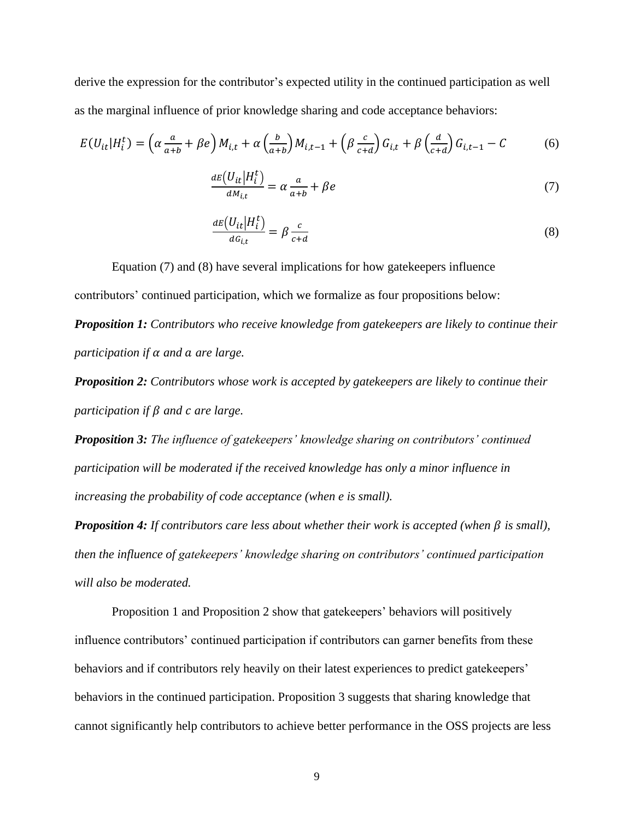derive the expression for the contributor's expected utility in the continued participation as well as the marginal influence of prior knowledge sharing and code acceptance behaviors:

$$
E(U_{it}|H_i^t) = \left(\alpha \frac{a}{a+b} + \beta e\right)M_{i,t} + \alpha \left(\frac{b}{a+b}\right)M_{i,t-1} + \left(\beta \frac{c}{c+d}\right)G_{i,t} + \beta \left(\frac{d}{c+d}\right)G_{i,t-1} - C\tag{6}
$$

$$
\frac{dE(U_{it}|H_i^t)}{dM_{i,t}} = \alpha \frac{a}{a+b} + \beta e \tag{7}
$$

$$
\frac{dE(U_{it}|H_i^t)}{dG_{i,t}} = \beta \frac{c}{c+d}
$$
\n(8)

Equation (7) and (8) have several implications for how gatekeepers influence contributors' continued participation, which we formalize as four propositions below: *Proposition 1: Contributors who receive knowledge from gatekeepers are likely to continue their participation if and are large.*

*Proposition 2: Contributors whose work is accepted by gatekeepers are likely to continue their participation if*  $\beta$  *and c are large.* 

*Proposition 3: The influence of gatekeepers' knowledge sharing on contributors' continued participation will be moderated if the received knowledge has only a minor influence in increasing the probability of code acceptance (when e is small).*

*Proposition 4: If contributors care less about whether their work is accepted (when*  $\beta$  *is small), then the influence of gatekeepers' knowledge sharing on contributors' continued participation will also be moderated.*

Proposition 1 and Proposition 2 show that gatekeepers' behaviors will positively influence contributors' continued participation if contributors can garner benefits from these behaviors and if contributors rely heavily on their latest experiences to predict gatekeepers' behaviors in the continued participation. Proposition 3 suggests that sharing knowledge that cannot significantly help contributors to achieve better performance in the OSS projects are less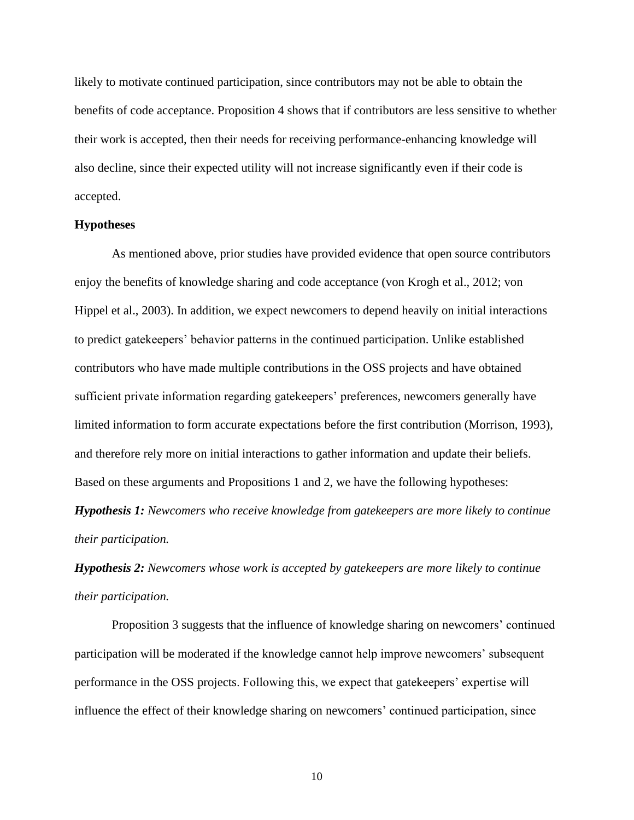likely to motivate continued participation, since contributors may not be able to obtain the benefits of code acceptance. Proposition 4 shows that if contributors are less sensitive to whether their work is accepted, then their needs for receiving performance-enhancing knowledge will also decline, since their expected utility will not increase significantly even if their code is accepted.

#### **Hypotheses**

As mentioned above, prior studies have provided evidence that open source contributors enjoy the benefits of knowledge sharing and code acceptance (von Krogh et al., 2012; von Hippel et al., 2003). In addition, we expect newcomers to depend heavily on initial interactions to predict gatekeepers' behavior patterns in the continued participation. Unlike established contributors who have made multiple contributions in the OSS projects and have obtained sufficient private information regarding gatekeepers' preferences, newcomers generally have limited information to form accurate expectations before the first contribution (Morrison, 1993), and therefore rely more on initial interactions to gather information and update their beliefs. Based on these arguments and Propositions 1 and 2, we have the following hypotheses:

*Hypothesis 1: Newcomers who receive knowledge from gatekeepers are more likely to continue their participation.*

*Hypothesis 2: Newcomers whose work is accepted by gatekeepers are more likely to continue their participation.*

Proposition 3 suggests that the influence of knowledge sharing on newcomers' continued participation will be moderated if the knowledge cannot help improve newcomers' subsequent performance in the OSS projects. Following this, we expect that gatekeepers' expertise will influence the effect of their knowledge sharing on newcomers' continued participation, since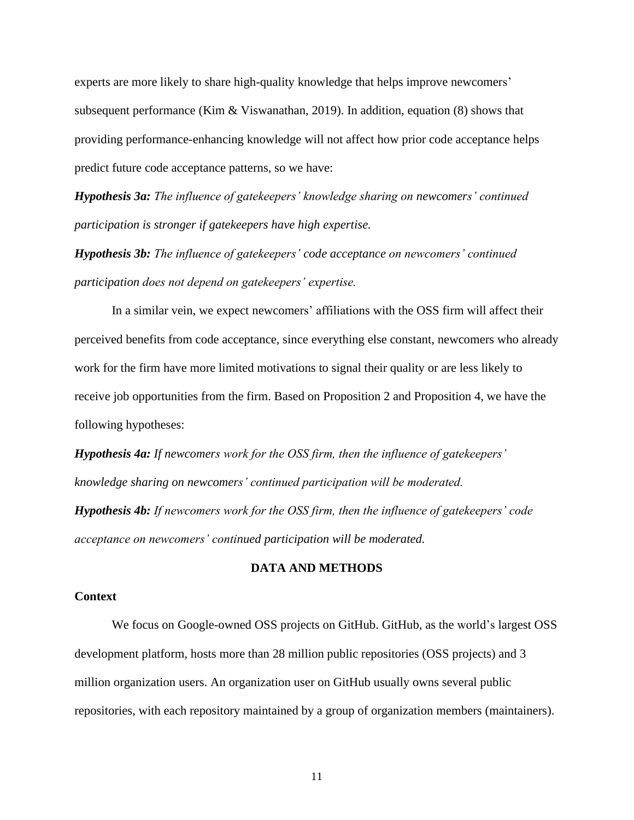experts are more likely to share high-quality knowledge that helps improve newcomers' subsequent performance (Kim & Viswanathan, 2019). In addition, equation (8) shows that providing performance-enhancing knowledge will not affect how prior code acceptance helps predict future code acceptance patterns, so we have:

*Hypothesis 3a: The influence of gatekeepers' knowledge sharing on newcomers' continued participation is stronger if gatekeepers have high expertise.*

*Hypothesis 3b: The influence of gatekeepers' code acceptance on newcomers' continued participation does not depend on gatekeepers' expertise.*

In a similar vein, we expect newcomers' affiliations with the OSS firm will affect their perceived benefits from code acceptance, since everything else constant, newcomers who already work for the firm have more limited motivations to signal their quality or are less likely to receive job opportunities from the firm. Based on Proposition 2 and Proposition 4, we have the following hypotheses:

*Hypothesis 4a: If newcomers work for the OSS firm, then the influence of gatekeepers' knowledge sharing on newcomers' continued participation will be moderated.*

*Hypothesis 4b: If newcomers work for the OSS firm, then the influence of gatekeepers' code acceptance on newcomers' continued participation will be moderated.*

#### **DATA AND METHODS**

#### **Context**

We focus on Google-owned OSS projects on GitHub. GitHub, as the world's largest OSS development platform, hosts more than 28 million public repositories (OSS projects) and 3 million organization users. An organization user on GitHub usually owns several public repositories, with each repository maintained by a group of organization members (maintainers).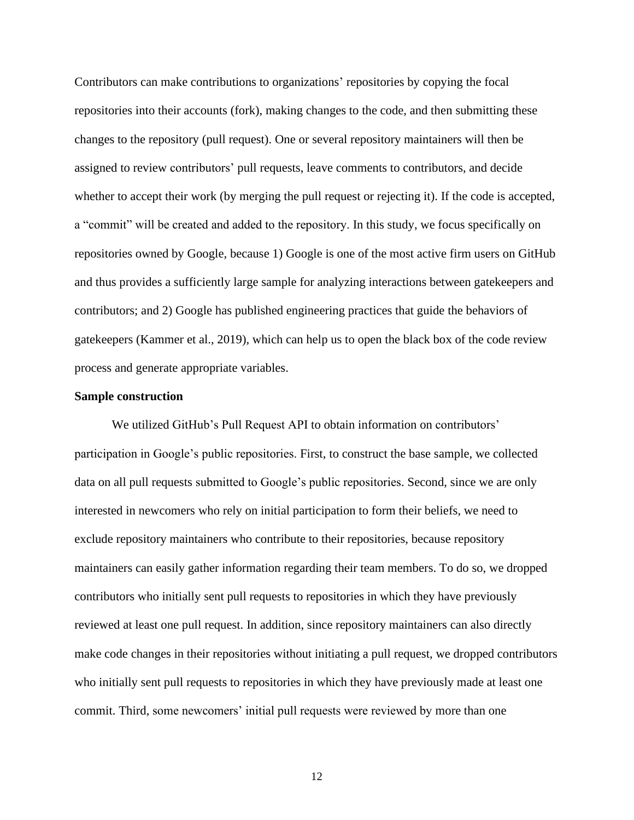Contributors can make contributions to organizations' repositories by copying the focal repositories into their accounts (fork), making changes to the code, and then submitting these changes to the repository (pull request). One or several repository maintainers will then be assigned to review contributors' pull requests, leave comments to contributors, and decide whether to accept their work (by merging the pull request or rejecting it). If the code is accepted, a "commit" will be created and added to the repository. In this study, we focus specifically on repositories owned by Google, because 1) Google is one of the most active firm users on GitHub and thus provides a sufficiently large sample for analyzing interactions between gatekeepers and contributors; and 2) Google has published engineering practices that guide the behaviors of gatekeepers (Kammer et al., 2019), which can help us to open the black box of the code review process and generate appropriate variables.

#### **Sample construction**

We utilized GitHub's Pull Request API to obtain information on contributors' participation in Google's public repositories. First, to construct the base sample, we collected data on all pull requests submitted to Google's public repositories. Second, since we are only interested in newcomers who rely on initial participation to form their beliefs, we need to exclude repository maintainers who contribute to their repositories, because repository maintainers can easily gather information regarding their team members. To do so, we dropped contributors who initially sent pull requests to repositories in which they have previously reviewed at least one pull request. In addition, since repository maintainers can also directly make code changes in their repositories without initiating a pull request, we dropped contributors who initially sent pull requests to repositories in which they have previously made at least one commit. Third, some newcomers' initial pull requests were reviewed by more than one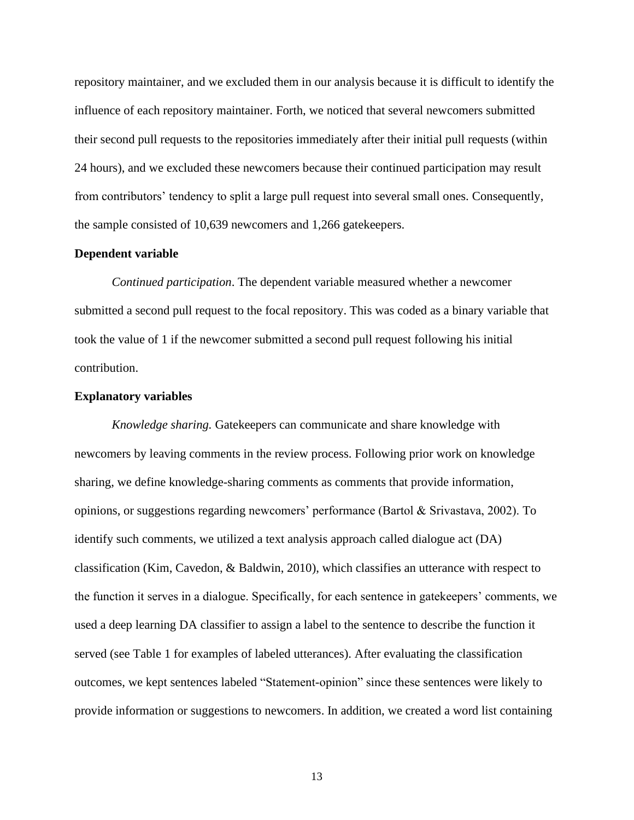repository maintainer, and we excluded them in our analysis because it is difficult to identify the influence of each repository maintainer. Forth, we noticed that several newcomers submitted their second pull requests to the repositories immediately after their initial pull requests (within 24 hours), and we excluded these newcomers because their continued participation may result from contributors' tendency to split a large pull request into several small ones. Consequently, the sample consisted of 10,639 newcomers and 1,266 gatekeepers.

#### **Dependent variable**

*Continued participation*. The dependent variable measured whether a newcomer submitted a second pull request to the focal repository. This was coded as a binary variable that took the value of 1 if the newcomer submitted a second pull request following his initial contribution.

#### **Explanatory variables**

*Knowledge sharing.* Gatekeepers can communicate and share knowledge with newcomers by leaving comments in the review process. Following prior work on knowledge sharing, we define knowledge-sharing comments as comments that provide information, opinions, or suggestions regarding newcomers' performance (Bartol & Srivastava, 2002). To identify such comments, we utilized a text analysis approach called dialogue act (DA) classification (Kim, Cavedon, & Baldwin, 2010), which classifies an utterance with respect to the function it serves in a dialogue. Specifically, for each sentence in gatekeepers' comments, we used a deep learning DA classifier to assign a label to the sentence to describe the function it served (see Table 1 for examples of labeled utterances). After evaluating the classification outcomes, we kept sentences labeled "Statement-opinion" since these sentences were likely to provide information or suggestions to newcomers. In addition, we created a word list containing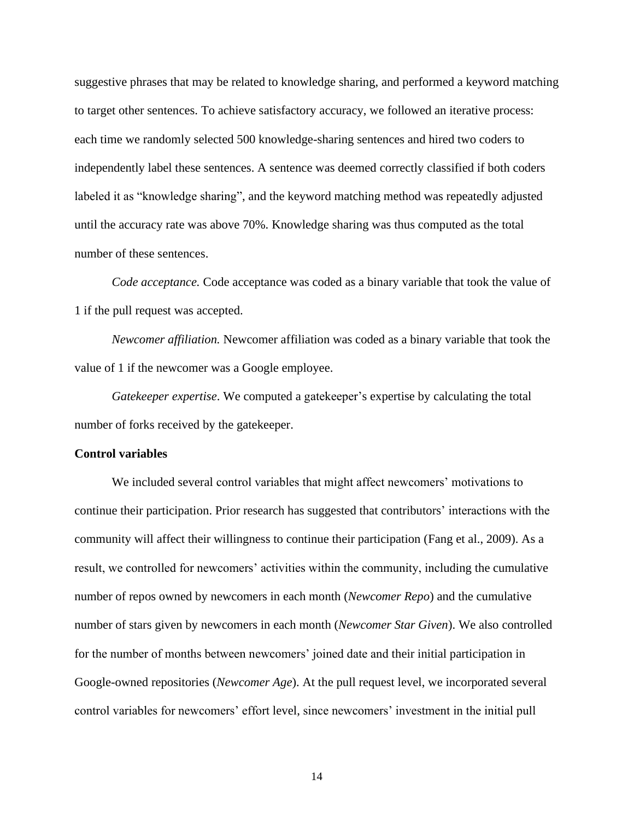suggestive phrases that may be related to knowledge sharing, and performed a keyword matching to target other sentences. To achieve satisfactory accuracy, we followed an iterative process: each time we randomly selected 500 knowledge-sharing sentences and hired two coders to independently label these sentences. A sentence was deemed correctly classified if both coders labeled it as "knowledge sharing", and the keyword matching method was repeatedly adjusted until the accuracy rate was above 70%. Knowledge sharing was thus computed as the total number of these sentences.

*Code acceptance.* Code acceptance was coded as a binary variable that took the value of 1 if the pull request was accepted.

*Newcomer affiliation.* Newcomer affiliation was coded as a binary variable that took the value of 1 if the newcomer was a Google employee.

*Gatekeeper expertise*. We computed a gatekeeper's expertise by calculating the total number of forks received by the gatekeeper.

#### **Control variables**

We included several control variables that might affect newcomers' motivations to continue their participation. Prior research has suggested that contributors' interactions with the community will affect their willingness to continue their participation (Fang et al., 2009). As a result, we controlled for newcomers' activities within the community, including the cumulative number of repos owned by newcomers in each month (*Newcomer Repo*) and the cumulative number of stars given by newcomers in each month (*Newcomer Star Given*). We also controlled for the number of months between newcomers' joined date and their initial participation in Google-owned repositories (*Newcomer Age*). At the pull request level, we incorporated several control variables for newcomers' effort level, since newcomers' investment in the initial pull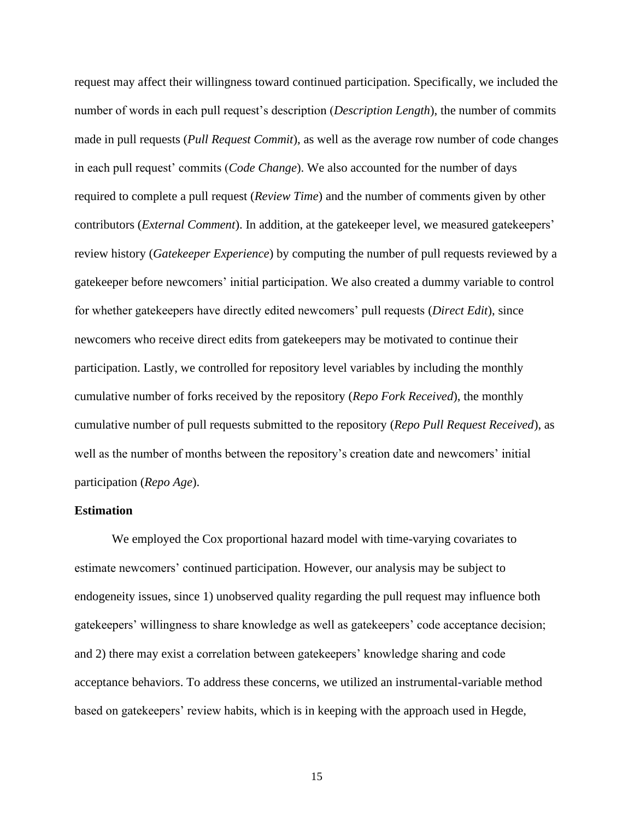request may affect their willingness toward continued participation. Specifically, we included the number of words in each pull request's description (*Description Length*), the number of commits made in pull requests (*Pull Request Commit*), as well as the average row number of code changes in each pull request' commits (*Code Change*). We also accounted for the number of days required to complete a pull request (*Review Time*) and the number of comments given by other contributors (*External Comment*). In addition, at the gatekeeper level, we measured gatekeepers' review history (*Gatekeeper Experience*) by computing the number of pull requests reviewed by a gatekeeper before newcomers' initial participation. We also created a dummy variable to control for whether gatekeepers have directly edited newcomers' pull requests (*Direct Edit*), since newcomers who receive direct edits from gatekeepers may be motivated to continue their participation. Lastly, we controlled for repository level variables by including the monthly cumulative number of forks received by the repository (*Repo Fork Received*), the monthly cumulative number of pull requests submitted to the repository (*Repo Pull Request Received*), as well as the number of months between the repository's creation date and newcomers' initial participation (*Repo Age*).

#### **Estimation**

We employed the Cox proportional hazard model with time-varying covariates to estimate newcomers' continued participation. However, our analysis may be subject to endogeneity issues, since 1) unobserved quality regarding the pull request may influence both gatekeepers' willingness to share knowledge as well as gatekeepers' code acceptance decision; and 2) there may exist a correlation between gatekeepers' knowledge sharing and code acceptance behaviors. To address these concerns, we utilized an instrumental-variable method based on gatekeepers' review habits, which is in keeping with the approach used in Hegde,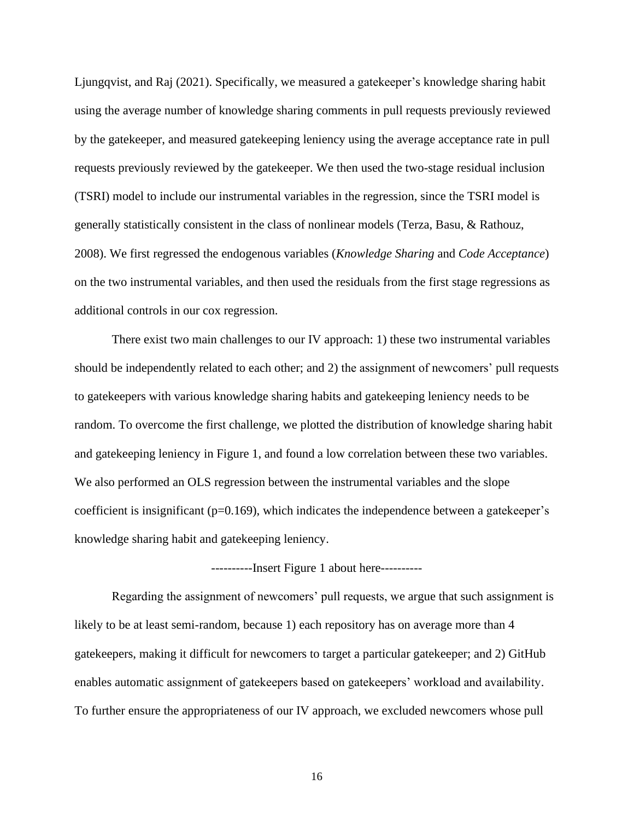Ljungqvist, and Raj (2021). Specifically, we measured a gatekeeper's knowledge sharing habit using the average number of knowledge sharing comments in pull requests previously reviewed by the gatekeeper, and measured gatekeeping leniency using the average acceptance rate in pull requests previously reviewed by the gatekeeper. We then used the two-stage residual inclusion (TSRI) model to include our instrumental variables in the regression, since the TSRI model is generally statistically consistent in the class of nonlinear models (Terza, Basu, & Rathouz, 2008). We first regressed the endogenous variables (*Knowledge Sharing* and *Code Acceptance*) on the two instrumental variables, and then used the residuals from the first stage regressions as additional controls in our cox regression.

There exist two main challenges to our IV approach: 1) these two instrumental variables should be independently related to each other; and 2) the assignment of newcomers' pull requests to gatekeepers with various knowledge sharing habits and gatekeeping leniency needs to be random. To overcome the first challenge, we plotted the distribution of knowledge sharing habit and gatekeeping leniency in Figure 1, and found a low correlation between these two variables. We also performed an OLS regression between the instrumental variables and the slope coefficient is insignificant ( $p=0.169$ ), which indicates the independence between a gatekeeper's knowledge sharing habit and gatekeeping leniency.

----------Insert Figure 1 about here----------

Regarding the assignment of newcomers' pull requests, we argue that such assignment is likely to be at least semi-random, because 1) each repository has on average more than 4 gatekeepers, making it difficult for newcomers to target a particular gatekeeper; and 2) GitHub enables automatic assignment of gatekeepers based on gatekeepers' workload and availability. To further ensure the appropriateness of our IV approach, we excluded newcomers whose pull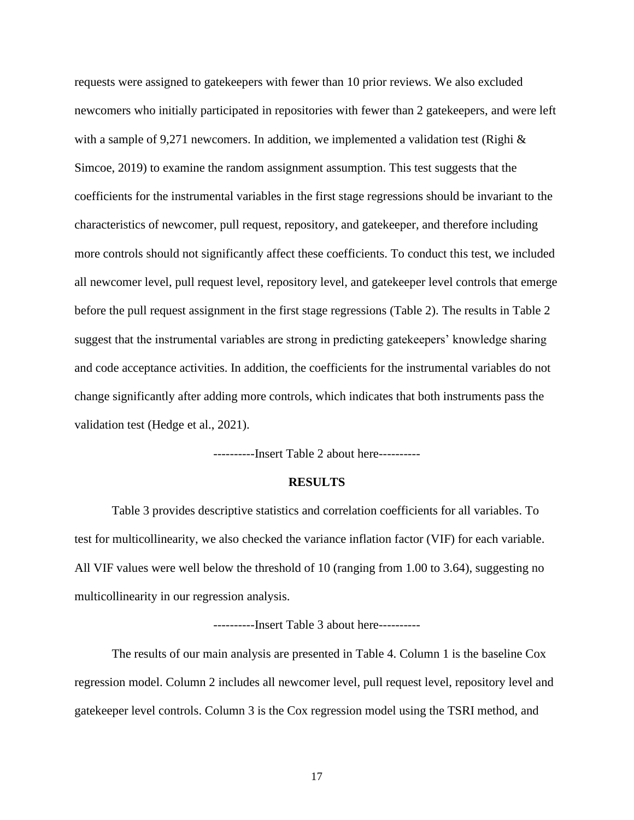requests were assigned to gatekeepers with fewer than 10 prior reviews. We also excluded newcomers who initially participated in repositories with fewer than 2 gatekeepers, and were left with a sample of 9,271 newcomers. In addition, we implemented a validation test (Righi  $\&$ Simcoe, 2019) to examine the random assignment assumption. This test suggests that the coefficients for the instrumental variables in the first stage regressions should be invariant to the characteristics of newcomer, pull request, repository, and gatekeeper, and therefore including more controls should not significantly affect these coefficients. To conduct this test, we included all newcomer level, pull request level, repository level, and gatekeeper level controls that emerge before the pull request assignment in the first stage regressions (Table 2). The results in Table 2 suggest that the instrumental variables are strong in predicting gatekeepers' knowledge sharing and code acceptance activities. In addition, the coefficients for the instrumental variables do not change significantly after adding more controls, which indicates that both instruments pass the validation test (Hedge et al., 2021).

----------Insert Table 2 about here----------

#### **RESULTS**

Table 3 provides descriptive statistics and correlation coefficients for all variables. To test for multicollinearity, we also checked the variance inflation factor (VIF) for each variable. All VIF values were well below the threshold of 10 (ranging from 1.00 to 3.64), suggesting no multicollinearity in our regression analysis.

----------Insert Table 3 about here----------

The results of our main analysis are presented in Table 4. Column 1 is the baseline Cox regression model. Column 2 includes all newcomer level, pull request level, repository level and gatekeeper level controls. Column 3 is the Cox regression model using the TSRI method, and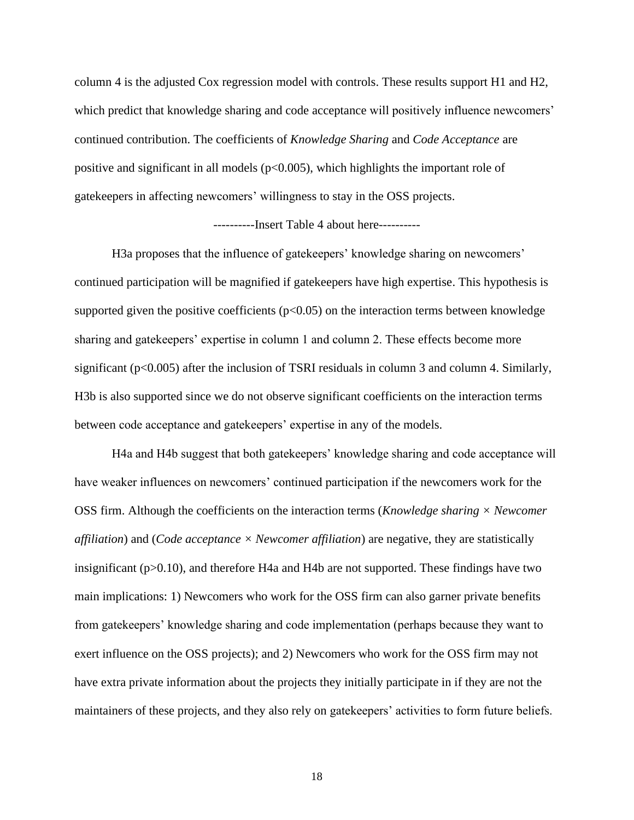column 4 is the adjusted Cox regression model with controls. These results support H1 and H2, which predict that knowledge sharing and code acceptance will positively influence newcomers' continued contribution. The coefficients of *Knowledge Sharing* and *Code Acceptance* are positive and significant in all models ( $p<0.005$ ), which highlights the important role of gatekeepers in affecting newcomers' willingness to stay in the OSS projects.

----------Insert Table 4 about here----------

H3a proposes that the influence of gatekeepers' knowledge sharing on newcomers' continued participation will be magnified if gatekeepers have high expertise. This hypothesis is supported given the positive coefficients  $(p<0.05)$  on the interaction terms between knowledge sharing and gatekeepers' expertise in column 1 and column 2. These effects become more significant (p<0.005) after the inclusion of TSRI residuals in column 3 and column 4. Similarly, H3b is also supported since we do not observe significant coefficients on the interaction terms between code acceptance and gatekeepers' expertise in any of the models.

H4a and H4b suggest that both gatekeepers' knowledge sharing and code acceptance will have weaker influences on newcomers' continued participation if the newcomers work for the OSS firm. Although the coefficients on the interaction terms (*Knowledge sharing × Newcomer affiliation*) and (*Code acceptance × Newcomer affiliation*) are negative, they are statistically insignificant ( $p > 0.10$ ), and therefore H4a and H4b are not supported. These findings have two main implications: 1) Newcomers who work for the OSS firm can also garner private benefits from gatekeepers' knowledge sharing and code implementation (perhaps because they want to exert influence on the OSS projects); and 2) Newcomers who work for the OSS firm may not have extra private information about the projects they initially participate in if they are not the maintainers of these projects, and they also rely on gatekeepers' activities to form future beliefs.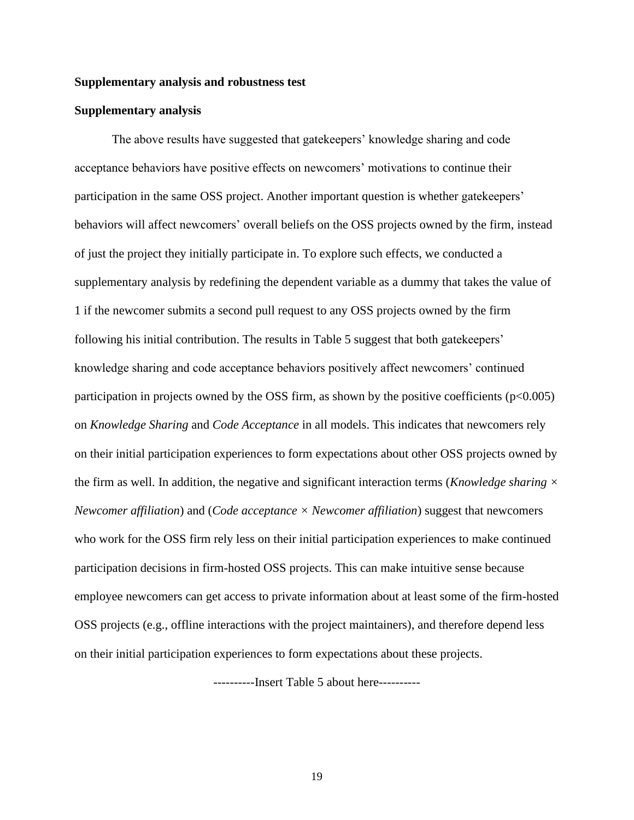#### **Supplementary analysis and robustness test**

#### **Supplementary analysis**

The above results have suggested that gatekeepers' knowledge sharing and code acceptance behaviors have positive effects on newcomers' motivations to continue their participation in the same OSS project. Another important question is whether gatekeepers' behaviors will affect newcomers' overall beliefs on the OSS projects owned by the firm, instead of just the project they initially participate in. To explore such effects, we conducted a supplementary analysis by redefining the dependent variable as a dummy that takes the value of 1 if the newcomer submits a second pull request to any OSS projects owned by the firm following his initial contribution. The results in Table 5 suggest that both gatekeepers' knowledge sharing and code acceptance behaviors positively affect newcomers' continued participation in projects owned by the OSS firm, as shown by the positive coefficients  $(p<0.005)$ on *Knowledge Sharing* and *Code Acceptance* in all models. This indicates that newcomers rely on their initial participation experiences to form expectations about other OSS projects owned by the firm as well. In addition, the negative and significant interaction terms (*Knowledge sharing × Newcomer affiliation*) and (*Code acceptance × Newcomer affiliation*) suggest that newcomers who work for the OSS firm rely less on their initial participation experiences to make continued participation decisions in firm-hosted OSS projects. This can make intuitive sense because employee newcomers can get access to private information about at least some of the firm-hosted OSS projects (e.g., offline interactions with the project maintainers), and therefore depend less on their initial participation experiences to form expectations about these projects.

----------Insert Table 5 about here----------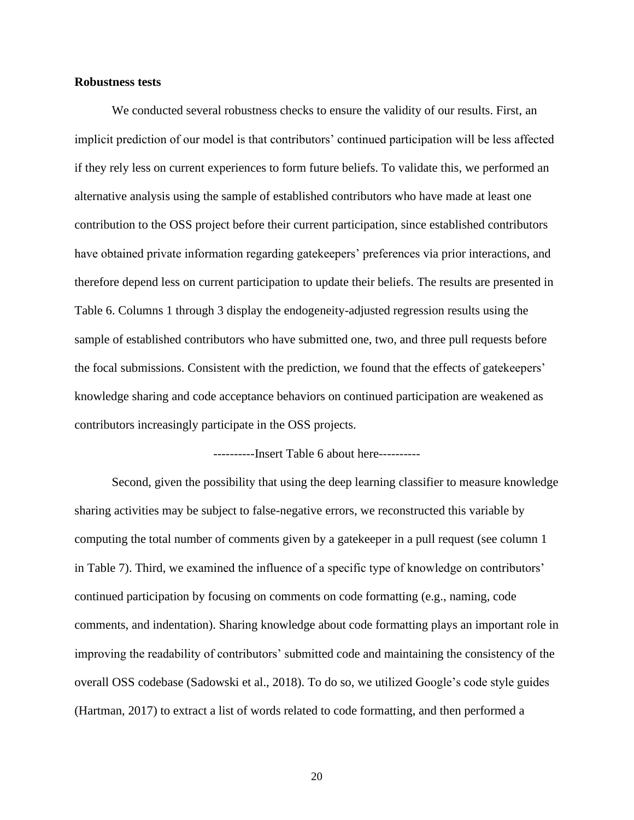#### **Robustness tests**

We conducted several robustness checks to ensure the validity of our results. First, an implicit prediction of our model is that contributors' continued participation will be less affected if they rely less on current experiences to form future beliefs. To validate this, we performed an alternative analysis using the sample of established contributors who have made at least one contribution to the OSS project before their current participation, since established contributors have obtained private information regarding gatekeepers' preferences via prior interactions, and therefore depend less on current participation to update their beliefs. The results are presented in Table 6. Columns 1 through 3 display the endogeneity-adjusted regression results using the sample of established contributors who have submitted one, two, and three pull requests before the focal submissions. Consistent with the prediction, we found that the effects of gatekeepers' knowledge sharing and code acceptance behaviors on continued participation are weakened as contributors increasingly participate in the OSS projects.

----------Insert Table 6 about here----------

Second, given the possibility that using the deep learning classifier to measure knowledge sharing activities may be subject to false-negative errors, we reconstructed this variable by computing the total number of comments given by a gatekeeper in a pull request (see column 1 in Table 7). Third, we examined the influence of a specific type of knowledge on contributors' continued participation by focusing on comments on code formatting (e.g., naming, code comments, and indentation). Sharing knowledge about code formatting plays an important role in improving the readability of contributors' submitted code and maintaining the consistency of the overall OSS codebase (Sadowski et al., 2018). To do so, we utilized Google's code style guides (Hartman, 2017) to extract a list of words related to code formatting, and then performed a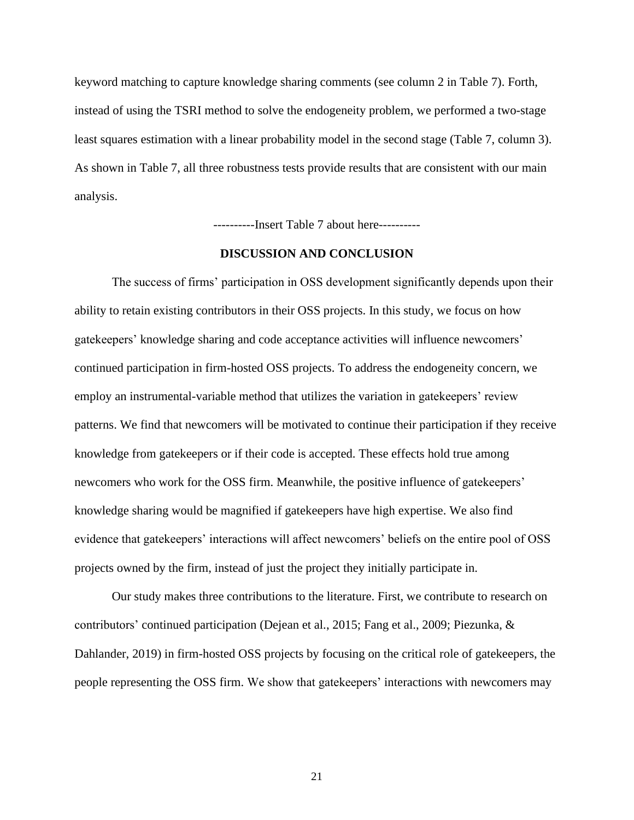keyword matching to capture knowledge sharing comments (see column 2 in Table 7). Forth, instead of using the TSRI method to solve the endogeneity problem, we performed a two-stage least squares estimation with a linear probability model in the second stage (Table 7, column 3). As shown in Table 7, all three robustness tests provide results that are consistent with our main analysis.

----------Insert Table 7 about here----------

#### **DISCUSSION AND CONCLUSION**

The success of firms' participation in OSS development significantly depends upon their ability to retain existing contributors in their OSS projects. In this study, we focus on how gatekeepers' knowledge sharing and code acceptance activities will influence newcomers' continued participation in firm-hosted OSS projects. To address the endogeneity concern, we employ an instrumental-variable method that utilizes the variation in gatekeepers' review patterns. We find that newcomers will be motivated to continue their participation if they receive knowledge from gatekeepers or if their code is accepted. These effects hold true among newcomers who work for the OSS firm. Meanwhile, the positive influence of gatekeepers' knowledge sharing would be magnified if gatekeepers have high expertise. We also find evidence that gatekeepers' interactions will affect newcomers' beliefs on the entire pool of OSS projects owned by the firm, instead of just the project they initially participate in.

Our study makes three contributions to the literature. First, we contribute to research on contributors' continued participation (Dejean et al., 2015; Fang et al., 2009; Piezunka, & Dahlander, 2019) in firm-hosted OSS projects by focusing on the critical role of gatekeepers, the people representing the OSS firm. We show that gatekeepers' interactions with newcomers may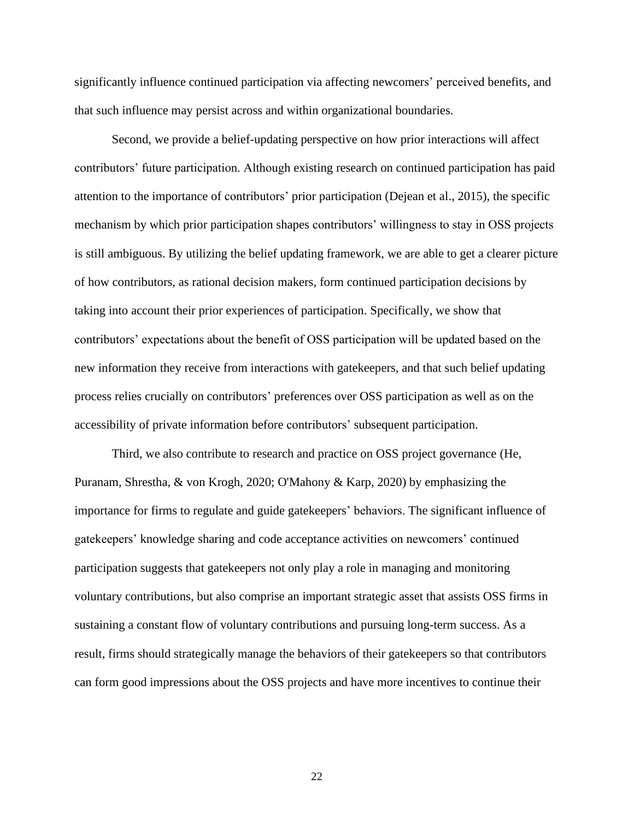significantly influence continued participation via affecting newcomers' perceived benefits, and that such influence may persist across and within organizational boundaries.

Second, we provide a belief-updating perspective on how prior interactions will affect contributors' future participation. Although existing research on continued participation has paid attention to the importance of contributors' prior participation (Dejean et al., 2015), the specific mechanism by which prior participation shapes contributors' willingness to stay in OSS projects is still ambiguous. By utilizing the belief updating framework, we are able to get a clearer picture of how contributors, as rational decision makers, form continued participation decisions by taking into account their prior experiences of participation. Specifically, we show that contributors' expectations about the benefit of OSS participation will be updated based on the new information they receive from interactions with gatekeepers, and that such belief updating process relies crucially on contributors' preferences over OSS participation as well as on the accessibility of private information before contributors' subsequent participation.

Third, we also contribute to research and practice on OSS project governance (He, Puranam, Shrestha, & von Krogh, 2020; O'Mahony & Karp, 2020) by emphasizing the importance for firms to regulate and guide gatekeepers' behaviors. The significant influence of gatekeepers' knowledge sharing and code acceptance activities on newcomers' continued participation suggests that gatekeepers not only play a role in managing and monitoring voluntary contributions, but also comprise an important strategic asset that assists OSS firms in sustaining a constant flow of voluntary contributions and pursuing long-term success. As a result, firms should strategically manage the behaviors of their gatekeepers so that contributors can form good impressions about the OSS projects and have more incentives to continue their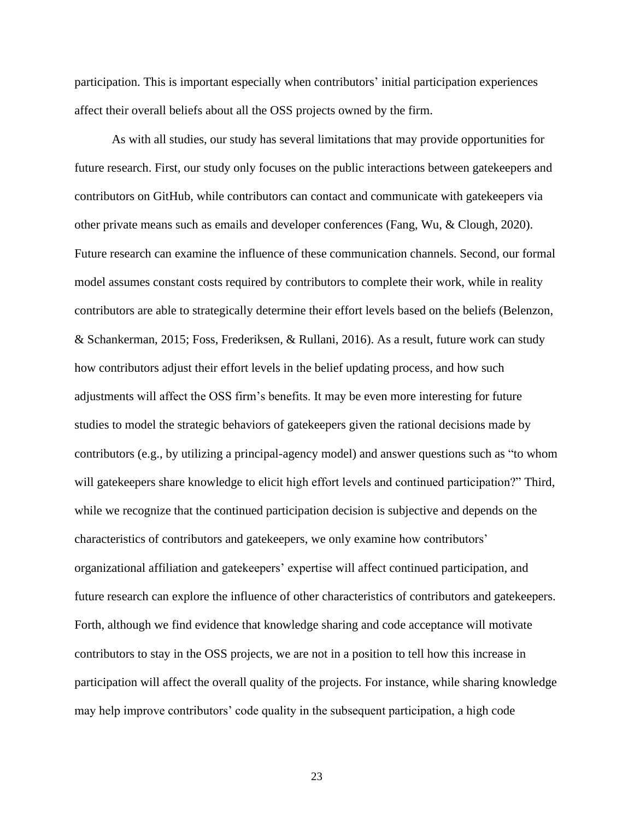participation. This is important especially when contributors' initial participation experiences affect their overall beliefs about all the OSS projects owned by the firm.

As with all studies, our study has several limitations that may provide opportunities for future research. First, our study only focuses on the public interactions between gatekeepers and contributors on GitHub, while contributors can contact and communicate with gatekeepers via other private means such as emails and developer conferences (Fang, Wu, & Clough, 2020). Future research can examine the influence of these communication channels. Second, our formal model assumes constant costs required by contributors to complete their work, while in reality contributors are able to strategically determine their effort levels based on the beliefs (Belenzon, & Schankerman, 2015; Foss, Frederiksen, & Rullani, 2016). As a result, future work can study how contributors adjust their effort levels in the belief updating process, and how such adjustments will affect the OSS firm's benefits. It may be even more interesting for future studies to model the strategic behaviors of gatekeepers given the rational decisions made by contributors (e.g., by utilizing a principal-agency model) and answer questions such as "to whom will gatekeepers share knowledge to elicit high effort levels and continued participation?" Third, while we recognize that the continued participation decision is subjective and depends on the characteristics of contributors and gatekeepers, we only examine how contributors' organizational affiliation and gatekeepers' expertise will affect continued participation, and future research can explore the influence of other characteristics of contributors and gatekeepers. Forth, although we find evidence that knowledge sharing and code acceptance will motivate contributors to stay in the OSS projects, we are not in a position to tell how this increase in participation will affect the overall quality of the projects. For instance, while sharing knowledge may help improve contributors' code quality in the subsequent participation, a high code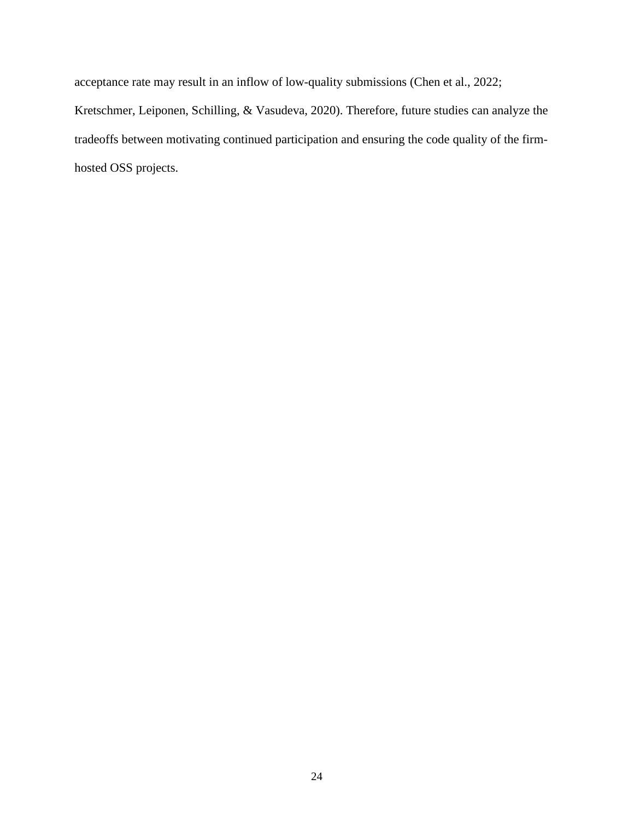acceptance rate may result in an inflow of low-quality submissions (Chen et al., 2022; Kretschmer, Leiponen, Schilling, & Vasudeva, 2020). Therefore, future studies can analyze the tradeoffs between motivating continued participation and ensuring the code quality of the firmhosted OSS projects.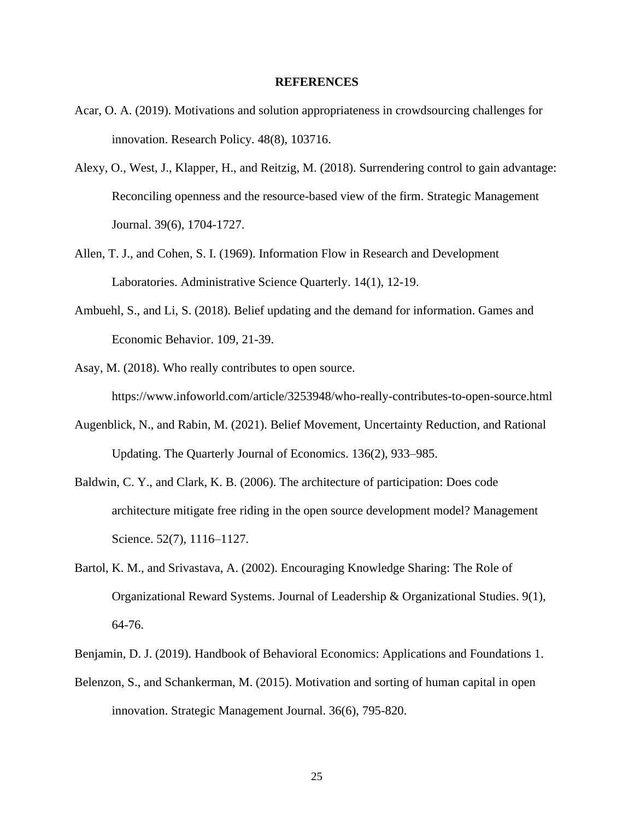#### **REFERENCES**

- Acar, O. A. (2019). Motivations and solution appropriateness in crowdsourcing challenges for innovation. Research Policy. 48(8), 103716.
- Alexy, O., West, J., Klapper, H., and Reitzig, M. (2018). Surrendering control to gain advantage: Reconciling openness and the resource-based view of the firm. Strategic Management Journal. 39(6), 1704-1727.
- Allen, T. J., and Cohen, S. I. (1969). Information Flow in Research and Development Laboratories. Administrative Science Quarterly. 14(1), 12-19.
- Ambuehl, S., and Li, S. (2018). Belief updating and the demand for information. Games and Economic Behavior. 109, 21-39.
- Asay, M. (2018). Who really contributes to open source. https://www.infoworld.com/article/3253948/who-really-contributes-to-open-source.html
- Augenblick, N., and Rabin, M. (2021). Belief Movement, Uncertainty Reduction, and Rational Updating. The Quarterly Journal of Economics. 136(2), 933–985.
- Baldwin, C. Y., and Clark, K. B. (2006). The architecture of participation: Does code architecture mitigate free riding in the open source development model? Management Science. 52(7), 1116–1127.
- Bartol, K. M., and Srivastava, A. (2002). Encouraging Knowledge Sharing: The Role of Organizational Reward Systems. Journal of Leadership & Organizational Studies. 9(1), 64-76.
- Benjamin, D. J. (2019). Handbook of Behavioral Economics: Applications and Foundations 1.
- Belenzon, S., and Schankerman, M. (2015). Motivation and sorting of human capital in open innovation. Strategic Management Journal. 36(6), 795-820.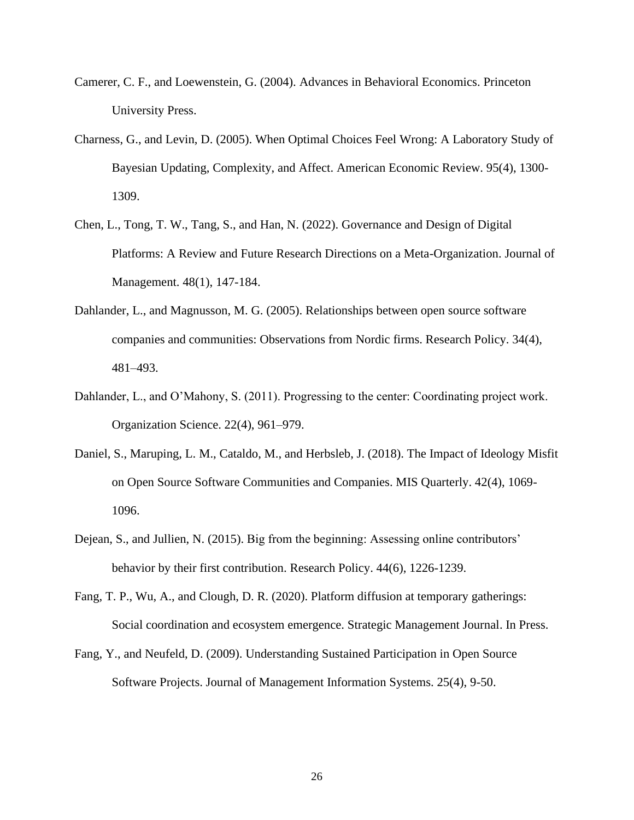- Camerer, C. F., and Loewenstein, G. (2004). Advances in Behavioral Economics. Princeton University Press.
- Charness, G., and Levin, D. (2005). When Optimal Choices Feel Wrong: A Laboratory Study of Bayesian Updating, Complexity, and Affect. American Economic Review. 95(4), 1300- 1309.
- Chen, L., Tong, T. W., Tang, S., and Han, N. (2022). Governance and Design of Digital Platforms: A Review and Future Research Directions on a Meta-Organization. Journal of Management. 48(1), 147-184.
- Dahlander, L., and Magnusson, M. G. (2005). Relationships between open source software companies and communities: Observations from Nordic firms. Research Policy. 34(4), 481–493.
- Dahlander, L., and O'Mahony, S. (2011). Progressing to the center: Coordinating project work. Organization Science. 22(4), 961–979.
- Daniel, S., Maruping, L. M., Cataldo, M., and Herbsleb, J. (2018). The Impact of Ideology Misfit on Open Source Software Communities and Companies. MIS Quarterly. 42(4), 1069- 1096.
- Dejean, S., and Jullien, N. (2015). Big from the beginning: Assessing online contributors' behavior by their first contribution. Research Policy. 44(6), 1226-1239.
- Fang, T. P., Wu, A., and Clough, D. R. (2020). Platform diffusion at temporary gatherings: Social coordination and ecosystem emergence. Strategic Management Journal. In Press.
- Fang, Y., and Neufeld, D. (2009). Understanding Sustained Participation in Open Source Software Projects. Journal of Management Information Systems. 25(4), 9-50.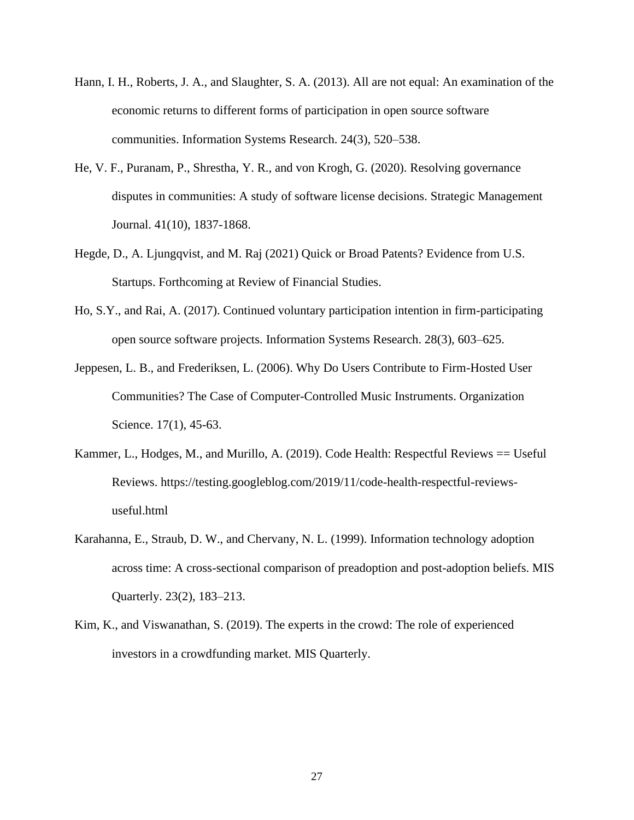- Hann, I. H., Roberts, J. A., and Slaughter, S. A. (2013). All are not equal: An examination of the economic returns to different forms of participation in open source software communities. Information Systems Research. 24(3), 520–538.
- He, V. F., Puranam, P., Shrestha, Y. R., and von Krogh, G. (2020). Resolving governance disputes in communities: A study of software license decisions. Strategic Management Journal. 41(10), 1837-1868.
- Hegde, D., A. Ljungqvist, and M. Raj (2021) Quick or Broad Patents? Evidence from U.S. Startups. Forthcoming at Review of Financial Studies.
- Ho, S.Y., and Rai, A. (2017). Continued voluntary participation intention in firm-participating open source software projects. Information Systems Research. 28(3), 603–625.
- Jeppesen, L. B., and Frederiksen, L. (2006). Why Do Users Contribute to Firm-Hosted User Communities? The Case of Computer-Controlled Music Instruments. Organization Science. 17(1), 45-63.
- Kammer, L., Hodges, M., and Murillo, A. (2019). Code Health: Respectful Reviews == Useful Reviews. https://testing.googleblog.com/2019/11/code-health-respectful-reviewsuseful.html
- Karahanna, E., Straub, D. W., and Chervany, N. L. (1999). Information technology adoption across time: A cross-sectional comparison of preadoption and post-adoption beliefs. MIS Quarterly. 23(2), 183–213.
- Kim, K., and Viswanathan, S. (2019). The experts in the crowd: The role of experienced investors in a crowdfunding market. MIS Quarterly.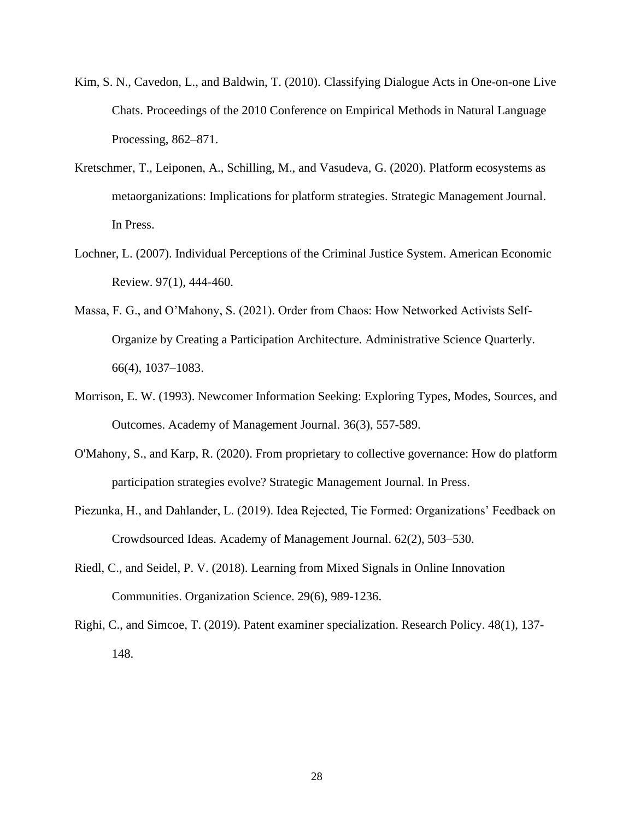- Kim, S. N., Cavedon, L., and Baldwin, T. (2010). Classifying Dialogue Acts in One-on-one Live Chats. Proceedings of the 2010 Conference on Empirical Methods in Natural Language Processing, 862–871.
- Kretschmer, T., Leiponen, A., Schilling, M., and Vasudeva, G. (2020). Platform ecosystems as metaorganizations: Implications for platform strategies. Strategic Management Journal. In Press.
- Lochner, L. (2007). Individual Perceptions of the Criminal Justice System. American Economic Review. 97(1), 444-460.
- Massa, F. G., and O'Mahony, S. (2021). Order from Chaos: How Networked Activists Self-Organize by Creating a Participation Architecture. Administrative Science Quarterly. 66(4), 1037–1083.
- Morrison, E. W. (1993). Newcomer Information Seeking: Exploring Types, Modes, Sources, and Outcomes. Academy of Management Journal. 36(3), 557-589.
- O'Mahony, S., and Karp, R. (2020). From proprietary to collective governance: How do platform participation strategies evolve? Strategic Management Journal. In Press.
- Piezunka, H., and Dahlander, L. (2019). Idea Rejected, Tie Formed: Organizations' Feedback on Crowdsourced Ideas. Academy of Management Journal. 62(2), 503–530.
- Riedl, C., and Seidel, P. V. (2018). Learning from Mixed Signals in Online Innovation Communities. Organization Science. 29(6), 989-1236.
- Righi, C., and Simcoe, T. (2019). Patent examiner specialization. Research Policy. 48(1), 137- 148.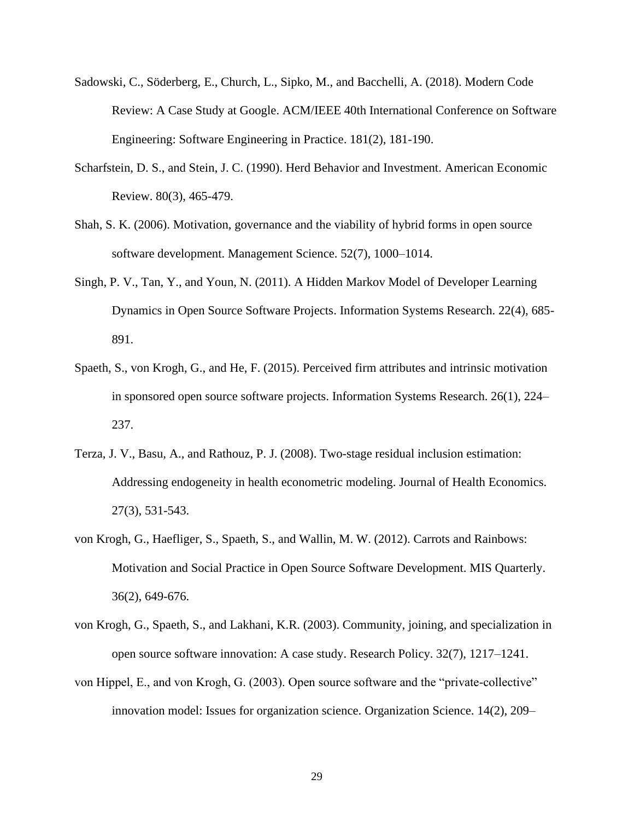- Sadowski, C., Söderberg, E., Church, L., Sipko, M., and Bacchelli, A. (2018). Modern Code Review: A Case Study at Google. ACM/IEEE 40th International Conference on Software Engineering: Software Engineering in Practice. 181(2), 181-190.
- Scharfstein, D. S., and Stein, J. C. (1990). Herd Behavior and Investment. American Economic Review. 80(3), 465-479.
- Shah, S. K. (2006). Motivation, governance and the viability of hybrid forms in open source software development. Management Science. 52(7), 1000–1014.
- Singh, P. V., Tan, Y., and Youn, N. (2011). A Hidden Markov Model of Developer Learning Dynamics in Open Source Software Projects. Information Systems Research. 22(4), 685- 891.
- Spaeth, S., von Krogh, G., and He, F. (2015). Perceived firm attributes and intrinsic motivation in sponsored open source software projects. Information Systems Research. 26(1), 224– 237.
- Terza, J. V., Basu, A., and Rathouz, P. J. (2008). Two-stage residual inclusion estimation: Addressing endogeneity in health econometric modeling. Journal of Health Economics. 27(3), 531-543.
- von Krogh, G., Haefliger, S., Spaeth, S., and Wallin, M. W. (2012). Carrots and Rainbows: Motivation and Social Practice in Open Source Software Development. MIS Quarterly. 36(2), 649-676.
- von Krogh, G., Spaeth, S., and Lakhani, K.R. (2003). Community, joining, and specialization in open source software innovation: A case study. Research Policy. 32(7), 1217–1241.
- von Hippel, E., and von Krogh, G. (2003). Open source software and the "private-collective" innovation model: Issues for organization science. Organization Science. 14(2), 209–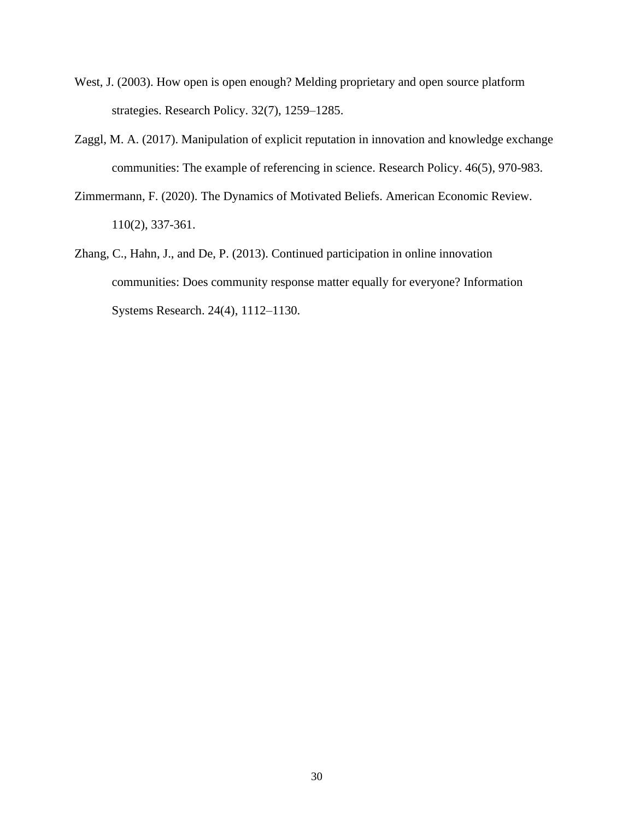- West, J. (2003). How open is open enough? Melding proprietary and open source platform strategies. Research Policy. 32(7), 1259–1285.
- Zaggl, M. A. (2017). Manipulation of explicit reputation in innovation and knowledge exchange communities: The example of referencing in science. Research Policy. 46(5), 970-983.
- Zimmermann, F. (2020). The Dynamics of Motivated Beliefs. American Economic Review. 110(2), 337-361.
- Zhang, C., Hahn, J., and De, P. (2013). Continued participation in online innovation communities: Does community response matter equally for everyone? Information Systems Research. 24(4), 1112–1130.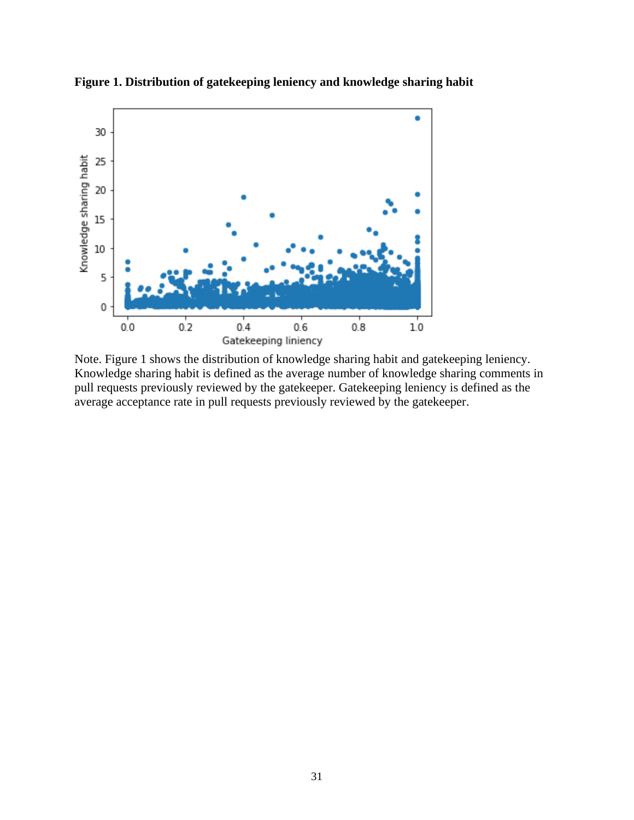

**Figure 1. Distribution of gatekeeping leniency and knowledge sharing habit**

Note. Figure 1 shows the distribution of knowledge sharing habit and gatekeeping leniency. Knowledge sharing habit is defined as the average number of knowledge sharing comments in pull requests previously reviewed by the gatekeeper. Gatekeeping leniency is defined as the average acceptance rate in pull requests previously reviewed by the gatekeeper.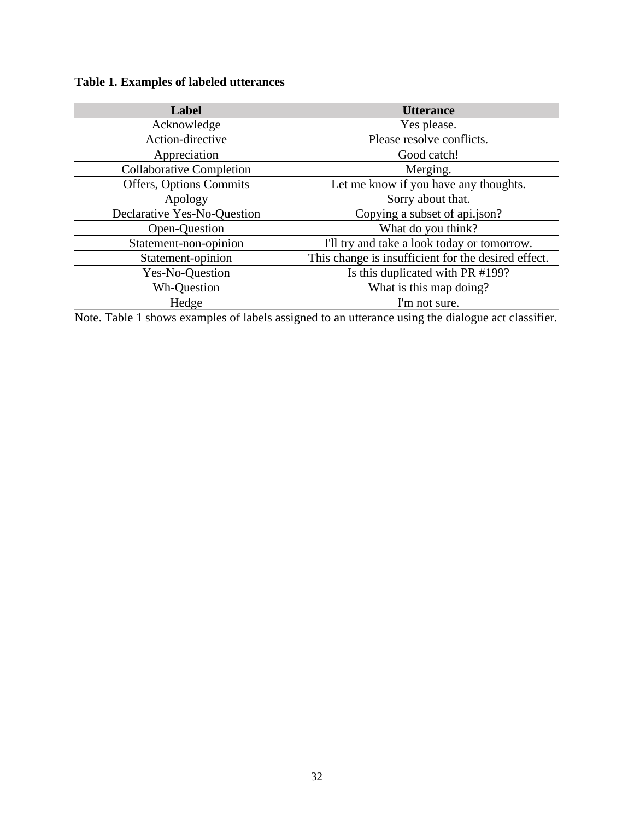## **Table 1. Examples of labeled utterances**

| Label                           | <b>Utterance</b>                                    |  |  |  |  |  |
|---------------------------------|-----------------------------------------------------|--|--|--|--|--|
| Acknowledge                     | Yes please.                                         |  |  |  |  |  |
| Action-directive                | Please resolve conflicts.                           |  |  |  |  |  |
| Appreciation                    | Good catch!                                         |  |  |  |  |  |
| <b>Collaborative Completion</b> | Merging.                                            |  |  |  |  |  |
| Offers, Options Commits         | Let me know if you have any thoughts.               |  |  |  |  |  |
| Apology                         | Sorry about that.                                   |  |  |  |  |  |
| Declarative Yes-No-Question     | Copying a subset of api.json?                       |  |  |  |  |  |
| Open-Question                   | What do you think?                                  |  |  |  |  |  |
| Statement-non-opinion           | I'll try and take a look today or tomorrow.         |  |  |  |  |  |
| Statement-opinion               | This change is insufficient for the desired effect. |  |  |  |  |  |
| Yes-No-Question                 | Is this duplicated with PR #199?                    |  |  |  |  |  |
| Wh-Question                     | What is this map doing?                             |  |  |  |  |  |
| Hedge                           | I'm not sure.                                       |  |  |  |  |  |

Note. Table 1 shows examples of labels assigned to an utterance using the dialogue act classifier.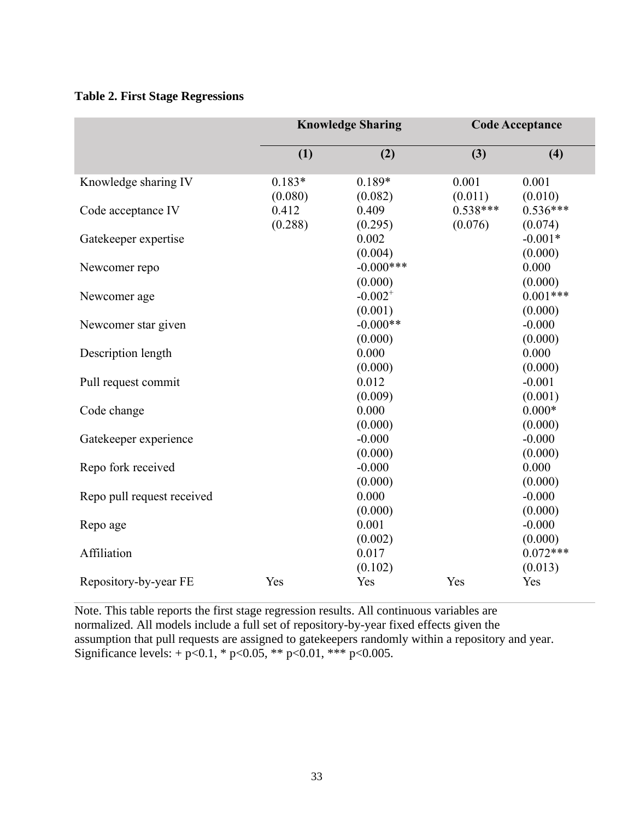### **Table 2. First Stage Regressions**

|                            | <b>Knowledge Sharing</b> |              |            | <b>Code Acceptance</b> |  |  |
|----------------------------|--------------------------|--------------|------------|------------------------|--|--|
|                            | (1)                      | (2)          | (3)        | (4)                    |  |  |
| Knowledge sharing IV       | $0.183*$                 | $0.189*$     | 0.001      | 0.001                  |  |  |
|                            | (0.080)                  | (0.082)      | (0.011)    | (0.010)                |  |  |
| Code acceptance IV         | 0.412                    | 0.409        | $0.538***$ | $0.536***$             |  |  |
|                            | (0.288)                  | (0.295)      | (0.076)    | (0.074)                |  |  |
| Gatekeeper expertise       |                          | 0.002        |            | $-0.001*$              |  |  |
|                            |                          | (0.004)      |            | (0.000)                |  |  |
| Newcomer repo              |                          | $-0.000***$  |            | 0.000                  |  |  |
|                            |                          | (0.000)      |            | (0.000)                |  |  |
| Newcomer age               |                          | $-0.002^{+}$ |            | $0.001***$             |  |  |
|                            |                          | (0.001)      |            | (0.000)                |  |  |
| Newcomer star given        |                          | $-0.000**$   |            | $-0.000$               |  |  |
|                            |                          | (0.000)      |            | (0.000)                |  |  |
| Description length         |                          | 0.000        |            | 0.000                  |  |  |
|                            |                          | (0.000)      |            | (0.000)                |  |  |
| Pull request commit        |                          | 0.012        |            | $-0.001$               |  |  |
|                            |                          | (0.009)      |            | (0.001)                |  |  |
| Code change                |                          | 0.000        |            | $0.000*$               |  |  |
|                            |                          | (0.000)      |            | (0.000)                |  |  |
| Gatekeeper experience      |                          | $-0.000$     |            | $-0.000$               |  |  |
|                            |                          | (0.000)      |            | (0.000)                |  |  |
| Repo fork received         |                          | $-0.000$     |            | 0.000                  |  |  |
|                            |                          | (0.000)      |            | (0.000)                |  |  |
| Repo pull request received |                          | 0.000        |            | $-0.000$               |  |  |
|                            |                          | (0.000)      |            | (0.000)                |  |  |
| Repo age                   |                          | 0.001        |            | $-0.000$               |  |  |
|                            |                          | (0.002)      |            | (0.000)                |  |  |
| Affiliation                |                          | 0.017        |            | $0.072***$             |  |  |
|                            |                          | (0.102)      |            | (0.013)                |  |  |
| Repository-by-year FE      | Yes                      | Yes          | Yes        | Yes                    |  |  |

Note. This table reports the first stage regression results. All continuous variables are normalized. All models include a full set of repository-by-year fixed effects given the assumption that pull requests are assigned to gatekeepers randomly within a repository and year. Significance levels:  $+ p < 0.1$ , \*  $p < 0.05$ , \*\*  $p < 0.01$ , \*\*\*  $p < 0.005$ .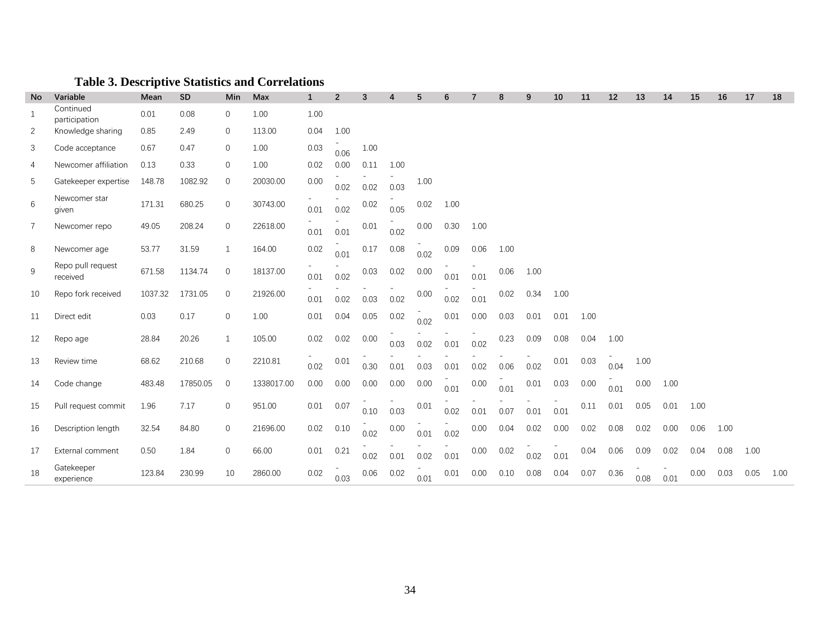## **Table 3. Descriptive Statistics and Correlations**

| <b>No</b>      | Variable                      | Mean    | <b>SD</b> | Min          | Max        | $\mathbf{1}$ | $\overline{2}$ | 3        | 4    | 5    |      |      | 8    | 9    | 10   | 11   | 12   | 13   | 14   | 15   | 16   | 17   | 18   |
|----------------|-------------------------------|---------|-----------|--------------|------------|--------------|----------------|----------|------|------|------|------|------|------|------|------|------|------|------|------|------|------|------|
| 1              | Continued<br>participation    | 0.01    | 0.08      | $\mathbf{0}$ | 1.00       | 1.00         |                |          |      |      |      |      |      |      |      |      |      |      |      |      |      |      |      |
| 2              | Knowledge sharing             | 0.85    | 2.49      | $\mathbf{0}$ | 113.00     | 0.04         | 1.00           |          |      |      |      |      |      |      |      |      |      |      |      |      |      |      |      |
| 3              | Code acceptance               | 0.67    | 0.47      | $\mathbf{0}$ | 1.00       | 0.03         | 0.06           | 1.00     |      |      |      |      |      |      |      |      |      |      |      |      |      |      |      |
| 4              | Newcomer affiliation          | 0.13    | 0.33      | $\mathbf{0}$ | 1.00       | 0.02         | 0.00           | 0.11     | 1.00 |      |      |      |      |      |      |      |      |      |      |      |      |      |      |
| 5              | Gatekeeper expertise          | 148.78  | 1082.92   | $\mathbf 0$  | 20030.00   | $0.00\,$     | 0.02           | 0.02     | 0.03 | 1.00 |      |      |      |      |      |      |      |      |      |      |      |      |      |
| 6              | Newcomer star<br>given        | 171.31  | 680.25    | $\mathbf 0$  | 30743.00   | 0.01         | 0.02           | 0.02     | 0.05 | 0.02 | 1.00 |      |      |      |      |      |      |      |      |      |      |      |      |
| $\overline{7}$ | Newcomer repo                 | 49.05   | 208.24    | $\mathbf 0$  | 22618.00   | 0.01         | 0.01           | $0.01\,$ | 0.02 | 0.00 | 0.30 | 1.00 |      |      |      |      |      |      |      |      |      |      |      |
| 8              | Newcomer age                  | 53.77   | 31.59     | $\mathbf{1}$ | 164.00     | 0.02         | 0.01           | 0.17     | 0.08 | 0.02 | 0.09 | 0.06 | 1.00 |      |      |      |      |      |      |      |      |      |      |
| 9              | Repo pull request<br>received | 671.58  | 1134.74   | $\mathbf{0}$ | 18137.00   | 0.01         | 0.02           | 0.03     | 0.02 | 0.00 | 0.01 | 0.01 | 0.06 | 1.00 |      |      |      |      |      |      |      |      |      |
| 10             | Repo fork received            | 1037.32 | 1731.05   | $\mathbf{0}$ | 21926.00   | 0.01         | 0.02           | 0.03     | 0.02 | 0.00 | 0.02 | 0.01 | 0.02 | 0.34 | 1.00 |      |      |      |      |      |      |      |      |
| 11             | Direct edit                   | 0.03    | 0.17      | $\mathbf{0}$ | 1.00       | 0.01         | 0.04           | 0.05     | 0.02 | 0.02 | 0.01 | 0.00 | 0.03 | 0.01 | 0.01 | 1.00 |      |      |      |      |      |      |      |
| 12             | Repo age                      | 28.84   | 20.26     | $\mathbf{1}$ | 105.00     | 0.02         | 0.02           | 0.00     | 0.03 | 0.02 | 0.01 | 0.02 | 0.23 | 0.09 | 0.08 | 0.04 | 1.00 |      |      |      |      |      |      |
| 13             | Review time                   | 68.62   | 210.68    | $\mathbf{0}$ | 2210.81    | 0.02         | 0.01           | 0.30     | 0.01 | 0.03 | 0.01 | 0.02 | 0.06 | 0.02 | 0.01 | 0.03 | 0.04 | 1.00 |      |      |      |      |      |
| 14             | Code change                   | 483.48  | 17850.05  | $\mathbf{0}$ | 1338017.00 | 0.00         | 0.00           | 0.00     | 0.00 | 0.00 | 0.01 | 0.00 | 0.01 | 0.01 | 0.03 | 0.00 | 0.01 | 0.00 | 1.00 |      |      |      |      |
| 15             | Pull request commit           | 1.96    | 7.17      | $\mathbf{0}$ | 951.00     | 0.01         | 0.07           | 0.10     | 0.03 | 0.01 | 0.02 | 0.01 | 0.07 | 0.01 | 0.01 | 0.11 | 0.01 | 0.05 | 0.01 | 1.00 |      |      |      |
| 16             | Description length            | 32.54   | 84.80     | $\mathbf 0$  | 21696.00   | 0.02         | 0.10           | 0.02     | 0.00 | 0.01 | 0.02 | 0.00 | 0.04 | 0.02 | 0.00 | 0.02 | 0.08 | 0.02 | 0.00 | 0.06 | 1.00 |      |      |
| 17             | External comment              | 0.50    | 1.84      | $\mathbf 0$  | 66.00      | 0.01         | 0.21           | 0.02     | 0.01 | 0.02 | 0.01 | 0.00 | 0.02 | 0.02 | 0.01 | 0.04 | 0.06 | 0.09 | 0.02 | 0.04 | 0.08 | 1.00 |      |
| 18             | Gatekeeper<br>experience      | 123.84  | 230.99    | 10           | 2860.00    | 0.02         | 0.03           | 0.06     | 0.02 | 0.01 | 0.01 | 0.00 | 0.10 | 0.08 | 0.04 | 0.07 | 0.36 | 0.08 | 0.01 | 0.00 | 0.03 | 0.05 | 1.00 |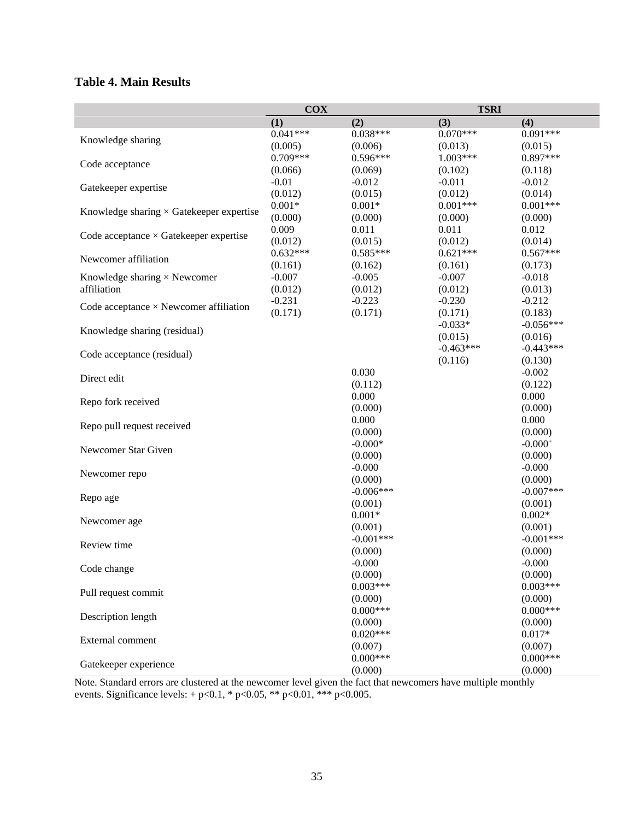## **Table 4. Main Results**

|                                                 | <b>COX</b> |                       | <b>TSRI</b> |                       |
|-------------------------------------------------|------------|-----------------------|-------------|-----------------------|
|                                                 | (1)        | (2)                   | (3)         | (4)                   |
|                                                 | $0.041***$ | $0.038***$            | $0.070***$  | $0.091***$            |
| Knowledge sharing                               | (0.005)    | (0.006)               | (0.013)     | (0.015)               |
| Code acceptance                                 | $0.709***$ | $0.596***$            | $1.003***$  | $0.897***$            |
|                                                 | (0.066)    | (0.069)               | (0.102)     | (0.118)               |
| Gatekeeper expertise                            | $-0.01$    | $-0.012$              | $-0.011$    | $-0.012$              |
|                                                 | (0.012)    | (0.015)               | (0.012)     | (0.014)               |
| Knowledge sharing $\times$ Gatekeeper expertise | $0.001*$   | $0.001*$              | $0.001***$  | $0.001***$            |
|                                                 | (0.000)    | (0.000)               | (0.000)     | (0.000)               |
| Code acceptance $\times$ Gatekeeper expertise   | 0.009      | 0.011                 | 0.011       | 0.012                 |
|                                                 | (0.012)    | (0.015)               | (0.012)     | (0.014)               |
| Newcomer affiliation                            | $0.632***$ | $0.585***$            | $0.621***$  | $0.567***$            |
|                                                 | (0.161)    | (0.162)               | (0.161)     | (0.173)               |
| Knowledge sharing $\times$ Newcomer             | $-0.007$   | $-0.005$              | $-0.007$    | $-0.018$              |
| affiliation                                     | (0.012)    | (0.012)               | (0.012)     | (0.013)               |
| Code acceptance $\times$ Newcomer affiliation   | $-0.231$   | $-0.223$              | $-0.230$    | $-0.212$              |
|                                                 | (0.171)    | (0.171)               | (0.171)     | (0.183)               |
| Knowledge sharing (residual)                    |            |                       | $-0.033*$   | $-0.056***$           |
|                                                 |            |                       | (0.015)     | (0.016)               |
| Code acceptance (residual)                      |            |                       | $-0.463***$ | $-0.443***$           |
|                                                 |            |                       | (0.116)     | (0.130)               |
| Direct edit                                     |            | 0.030                 |             | $-0.002$              |
|                                                 |            | (0.112)               |             | (0.122)               |
| Repo fork received                              |            | 0.000                 |             | 0.000                 |
|                                                 |            | (0.000)               |             | (0.000)               |
| Repo pull request received                      |            | 0.000                 |             | 0.000                 |
|                                                 |            | (0.000)               |             | (0.000)               |
| Newcomer Star Given                             |            | $-0.000*$             |             | $-0.000+$             |
|                                                 |            | (0.000)               |             | (0.000)               |
| Newcomer repo                                   |            | $-0.000$              |             | $-0.000$              |
|                                                 |            | (0.000)               |             | (0.000)               |
| Repo age                                        |            | $-0.006***$           |             | $-0.007***$           |
|                                                 |            | (0.001)               |             | (0.001)               |
| Newcomer age                                    |            | $0.001*$              |             | $0.002*$              |
|                                                 |            | (0.001)               |             | (0.001)               |
| Review time                                     |            | $-0.001***$           |             | $-0.001***$           |
|                                                 |            | (0.000)               |             | (0.000)               |
| Code change                                     |            | $-0.000$              |             | $-0.000$              |
|                                                 |            | (0.000)               |             | (0.000)               |
| Pull request commit                             |            | $0.003***$            |             | $0.003***$            |
|                                                 |            | (0.000)<br>$0.000***$ |             | (0.000)<br>$0.000***$ |
| Description length                              |            |                       |             |                       |
|                                                 |            | (0.000)<br>$0.020***$ |             | (0.000)               |
| External comment                                |            |                       |             | $0.017*$              |
|                                                 |            | (0.007)<br>$0.000***$ |             | (0.007)<br>$0.000***$ |
| Gatekeeper experience                           |            |                       |             | (0.000)               |
|                                                 |            | (0.000)               |             |                       |

Note. Standard errors are clustered at the newcomer level given the fact that newcomers have multiple monthly events. Significance levels:  $+p<0.1$ , \*  $p<0.05$ , \*\*  $p<0.01$ , \*\*\*  $p<0.005$ .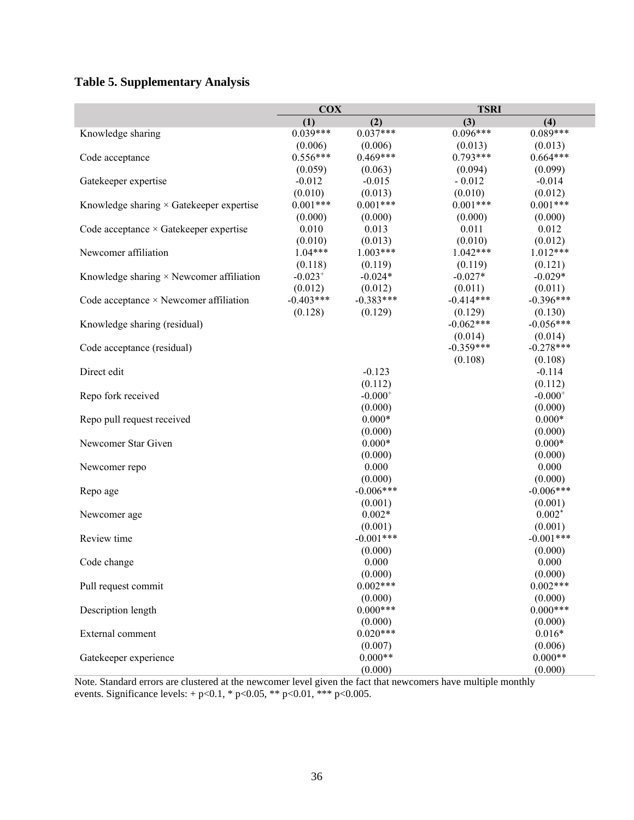## **Table 5. Supplementary Analysis**

|                                                 | <b>COX</b>  |              | <b>TSRI</b> |              |
|-------------------------------------------------|-------------|--------------|-------------|--------------|
|                                                 | (1)         | (2)          | (3)         | (4)          |
| Knowledge sharing                               | $0.039***$  | $0.037***$   | $0.096***$  | $0.089***$   |
|                                                 | (0.006)     | (0.006)      | (0.013)     | (0.013)      |
| Code acceptance                                 | $0.556***$  | $0.469***$   | $0.793***$  | $0.664***$   |
|                                                 | (0.059)     | (0.063)      | (0.094)     | (0.099)      |
| Gatekeeper expertise                            | $-0.012$    | $-0.015$     | $-0.012$    | $-0.014$     |
|                                                 | (0.010)     | (0.013)      | (0.010)     | (0.012)      |
| Knowledge sharing $\times$ Gatekeeper expertise | $0.001***$  | $0.001***$   | $0.001***$  | $0.001***$   |
|                                                 | (0.000)     | (0.000)      | (0.000)     | (0.000)      |
| Code acceptance × Gatekeeper expertise          | 0.010       | 0.013        | 0.011       | 0.012        |
|                                                 | (0.010)     | (0.013)      | (0.010)     | (0.012)      |
| Newcomer affiliation                            | $1.04***$   | $1.003***$   | $1.042***$  | $1.012***$   |
|                                                 | (0.118)     | (0.119)      | (0.119)     | (0.121)      |
| Knowledge sharing $\times$ Newcomer affiliation | $-0.023+$   | $-0.024*$    | $-0.027*$   | $-0.029*$    |
|                                                 | (0.012)     | (0.012)      | (0.011)     | (0.011)      |
| Code acceptance $\times$ Newcomer affiliation   | $-0.403***$ | $-0.383***$  | $-0.414***$ | $-0.396***$  |
|                                                 | (0.128)     | (0.129)      | (0.129)     | (0.130)      |
| Knowledge sharing (residual)                    |             |              | $-0.062***$ | $-0.056***$  |
|                                                 |             |              | (0.014)     | (0.014)      |
| Code acceptance (residual)                      |             |              | $-0.359***$ | $-0.278***$  |
|                                                 |             |              | (0.108)     | (0.108)      |
| Direct edit                                     |             | $-0.123$     |             | $-0.114$     |
|                                                 |             | (0.112)      |             | (0.112)      |
| Repo fork received                              |             | $-0.000^{+}$ |             | $-0.000^{+}$ |
|                                                 |             | (0.000)      |             | (0.000)      |
| Repo pull request received                      |             | $0.000*$     |             | $0.000*$     |
|                                                 |             | (0.000)      |             | (0.000)      |
| Newcomer Star Given                             |             | $0.000*$     |             | $0.000*$     |
|                                                 |             | (0.000)      |             | (0.000)      |
| Newcomer repo                                   |             | 0.000        |             | 0.000        |
|                                                 |             | (0.000)      |             | (0.000)      |
| Repo age                                        |             | $-0.006***$  |             | $-0.006***$  |
|                                                 |             | (0.001)      |             | (0.001)      |
| Newcomer age                                    |             | $0.002*$     |             | $0.002*$     |
|                                                 |             | (0.001)      |             | (0.001)      |
| Review time                                     |             | $-0.001***$  |             | $-0.001***$  |
|                                                 |             | (0.000)      |             | (0.000)      |
| Code change                                     |             | 0.000        |             | 0.000        |
|                                                 |             | (0.000)      |             | (0.000)      |
| Pull request commit                             |             | $0.002***$   |             | $0.002***$   |
|                                                 |             | (0.000)      |             | (0.000)      |
| Description length                              |             | $0.000***$   |             | $0.000***$   |
|                                                 |             | (0.000)      |             | (0.000)      |
| External comment                                |             | $0.020***$   |             | $0.016*$     |
|                                                 |             | (0.007)      |             | (0.006)      |
| Gatekeeper experience                           |             | $0.000**$    |             | $0.000**$    |
|                                                 |             | (0.000)      |             | (0.000)      |

Note. Standard errors are clustered at the newcomer level given the fact that newcomers have multiple monthly events. Significance levels:  $+p<0.1$ , \*  $p<0.05$ , \*\*  $p<0.01$ , \*\*\*  $p<0.005$ .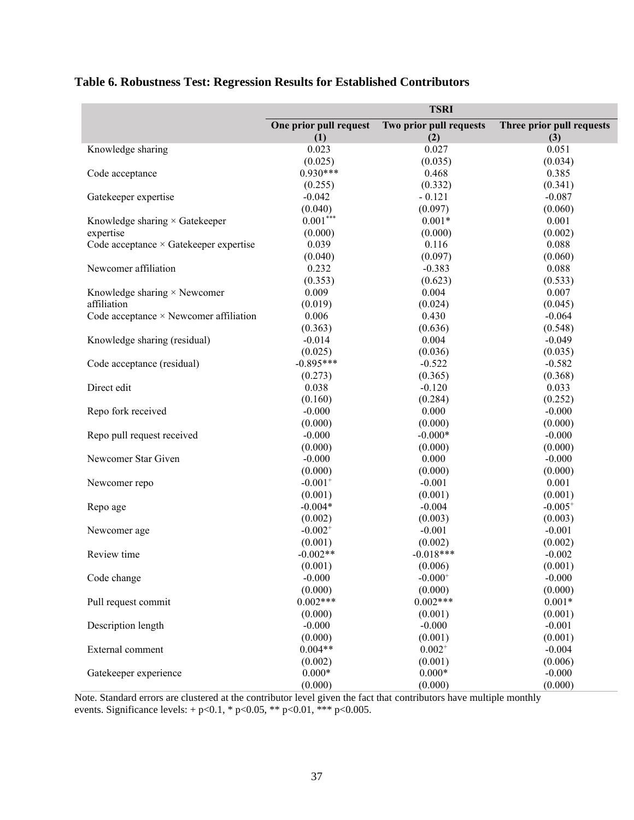|                                               |                        | <b>TSRI</b>             |                           |
|-----------------------------------------------|------------------------|-------------------------|---------------------------|
|                                               | One prior pull request | Two prior pull requests | Three prior pull requests |
|                                               | (1)                    | (2)                     | (3)                       |
| Knowledge sharing                             | 0.023                  | 0.027                   | 0.051                     |
|                                               | (0.025)                | (0.035)                 | (0.034)                   |
| Code acceptance                               | $0.930***$             | 0.468                   | 0.385                     |
|                                               | (0.255)                | (0.332)                 | (0.341)                   |
| Gatekeeper expertise                          | $-0.042$               | $-0.121$                | $-0.087$                  |
|                                               | (0.040)                | (0.097)                 | (0.060)                   |
| Knowledge sharing $\times$ Gatekeeper         | $0.001***$             | $0.001*$                | 0.001                     |
| expertise                                     | (0.000)                | (0.000)                 | (0.002)                   |
| Code acceptance × Gatekeeper expertise        | 0.039                  | 0.116                   | 0.088                     |
|                                               | (0.040)                | (0.097)                 | (0.060)                   |
| Newcomer affiliation                          | 0.232                  | $-0.383$                | 0.088                     |
|                                               | (0.353)                | (0.623)                 | (0.533)                   |
| Knowledge sharing $\times$ Newcomer           | 0.009                  | 0.004                   | 0.007                     |
| affiliation                                   | (0.019)                | (0.024)                 | (0.045)                   |
| Code acceptance $\times$ Newcomer affiliation | 0.006                  | 0.430                   | $-0.064$                  |
|                                               | (0.363)                | (0.636)                 | (0.548)                   |
| Knowledge sharing (residual)                  | $-0.014$               | 0.004                   | $-0.049$                  |
|                                               | (0.025)                | (0.036)                 | (0.035)                   |
| Code acceptance (residual)                    | $-0.895***$            | $-0.522$                | $-0.582$                  |
|                                               | (0.273)                | (0.365)                 | (0.368)                   |
| Direct edit                                   | 0.038                  | $-0.120$                | 0.033                     |
|                                               | (0.160)                | (0.284)                 | (0.252)                   |
| Repo fork received                            | $-0.000$               | 0.000                   | $-0.000$                  |
|                                               | (0.000)                | (0.000)                 | (0.000)                   |
| Repo pull request received                    | $-0.000$               | $-0.000*$               | $-0.000$                  |
|                                               | (0.000)                | (0.000)                 | (0.000)                   |
| Newcomer Star Given                           | $-0.000$               | 0.000                   | $-0.000$                  |
|                                               | (0.000)                | (0.000)                 | (0.000)                   |
| Newcomer repo                                 | $-0.001$ <sup>+</sup>  | $-0.001$                | 0.001                     |
|                                               | (0.001)                | (0.001)                 | (0.001)                   |
| Repo age                                      | $-0.004*$              | $-0.004$                | $-0.005+$                 |
|                                               | (0.002)                | (0.003)                 | (0.003)                   |
| Newcomer age                                  | $-0.002$ <sup>+</sup>  | $-0.001$                | $-0.001$                  |
|                                               | (0.001)                | (0.002)                 | (0.002)                   |
| Review time                                   | $-0.002**$             | $-0.018***$             | $-0.002$                  |
|                                               | (0.001)                | (0.006)                 | (0.001)                   |
| Code change                                   | $-0.000$               | $-0.000^{+}$            | $-0.000$                  |
|                                               | (0.000)                | (0.000)                 | (0.000)                   |
| Pull request commit                           | $0.002***$             | $0.002***$              | $0.001*$                  |
|                                               | (0.000)                | (0.001)                 | (0.001)                   |
| Description length                            | $-0.000$               | $-0.000$                | $-0.001$                  |
|                                               | (0.000)                | (0.001)                 | (0.001)                   |
| External comment                              | $0.004**$              | $0.002^{+}$             | $-0.004$                  |
|                                               | (0.002)                | (0.001)                 | (0.006)                   |
| Gatekeeper experience                         | $0.000*$               | $0.000*$                | $-0.000$                  |
|                                               | (0.000)                | (0.000)                 | (0.000)                   |

## **Table 6. Robustness Test: Regression Results for Established Contributors**

Note. Standard errors are clustered at the contributor level given the fact that contributors have multiple monthly events. Significance levels:  $+p<0.1$ , \*  $p<0.05$ , \*\*  $p<0.01$ , \*\*\*  $p<0.005$ .